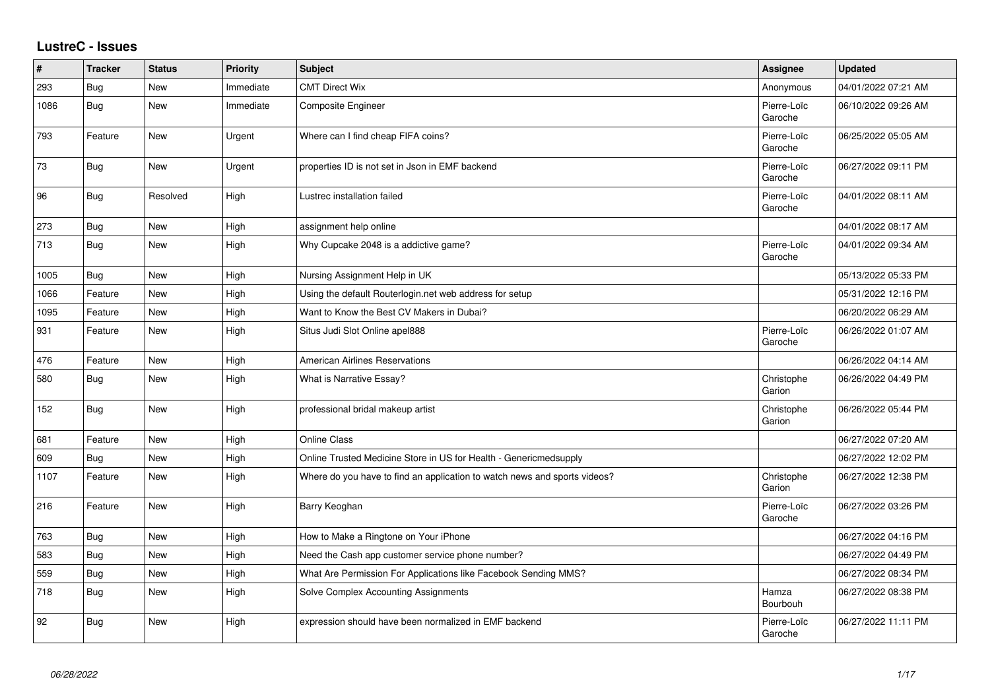## **LustreC - Issues**

| #    | <b>Tracker</b> | <b>Status</b> | <b>Priority</b> | <b>Subject</b>                                                            | <b>Assignee</b>        | <b>Updated</b>      |
|------|----------------|---------------|-----------------|---------------------------------------------------------------------------|------------------------|---------------------|
| 293  | Bug            | New           | Immediate       | <b>CMT Direct Wix</b>                                                     | Anonymous              | 04/01/2022 07:21 AM |
| 1086 | Bug            | New           | Immediate       | <b>Composite Engineer</b>                                                 | Pierre-Loïc<br>Garoche | 06/10/2022 09:26 AM |
| 793  | Feature        | New           | Urgent          | Where can I find cheap FIFA coins?                                        | Pierre-Loïc<br>Garoche | 06/25/2022 05:05 AM |
| 73   | Bug            | <b>New</b>    | Urgent          | properties ID is not set in Json in EMF backend                           | Pierre-Loïc<br>Garoche | 06/27/2022 09:11 PM |
| 96   | <b>Bug</b>     | Resolved      | High            | Lustrec installation failed                                               | Pierre-Loïc<br>Garoche | 04/01/2022 08:11 AM |
| 273  | Bug            | New           | High            | assignment help online                                                    |                        | 04/01/2022 08:17 AM |
| 713  | <b>Bug</b>     | New           | High            | Why Cupcake 2048 is a addictive game?                                     | Pierre-Loïc<br>Garoche | 04/01/2022 09:34 AM |
| 1005 | <b>Bug</b>     | New           | High            | Nursing Assignment Help in UK                                             |                        | 05/13/2022 05:33 PM |
| 1066 | Feature        | New           | High            | Using the default Routerlogin.net web address for setup                   |                        | 05/31/2022 12:16 PM |
| 1095 | Feature        | New           | High            | Want to Know the Best CV Makers in Dubai?                                 |                        | 06/20/2022 06:29 AM |
| 931  | Feature        | <b>New</b>    | High            | Situs Judi Slot Online apel888                                            | Pierre-Loïc<br>Garoche | 06/26/2022 01:07 AM |
| 476  | Feature        | <b>New</b>    | High            | <b>American Airlines Reservations</b>                                     |                        | 06/26/2022 04:14 AM |
| 580  | <b>Bug</b>     | New           | High            | What is Narrative Essay?                                                  | Christophe<br>Garion   | 06/26/2022 04:49 PM |
| 152  | Bug            | <b>New</b>    | High            | professional bridal makeup artist                                         | Christophe<br>Garion   | 06/26/2022 05:44 PM |
| 681  | Feature        | New           | High            | <b>Online Class</b>                                                       |                        | 06/27/2022 07:20 AM |
| 609  | <b>Bug</b>     | New           | High            | Online Trusted Medicine Store in US for Health - Genericmedsupply         |                        | 06/27/2022 12:02 PM |
| 1107 | Feature        | <b>New</b>    | High            | Where do you have to find an application to watch news and sports videos? | Christophe<br>Garion   | 06/27/2022 12:38 PM |
| 216  | Feature        | New           | High            | Barry Keoghan                                                             | Pierre-Loïc<br>Garoche | 06/27/2022 03:26 PM |
| 763  | <b>Bug</b>     | New           | High            | How to Make a Ringtone on Your iPhone                                     |                        | 06/27/2022 04:16 PM |
| 583  | Bug            | New           | High            | Need the Cash app customer service phone number?                          |                        | 06/27/2022 04:49 PM |
| 559  | Bug            | New           | High            | What Are Permission For Applications like Facebook Sending MMS?           |                        | 06/27/2022 08:34 PM |
| 718  | <b>Bug</b>     | New           | High            | Solve Complex Accounting Assignments                                      | Hamza<br>Bourbouh      | 06/27/2022 08:38 PM |
| 92   | Bug            | <b>New</b>    | High            | expression should have been normalized in EMF backend                     | Pierre-Loïc<br>Garoche | 06/27/2022 11:11 PM |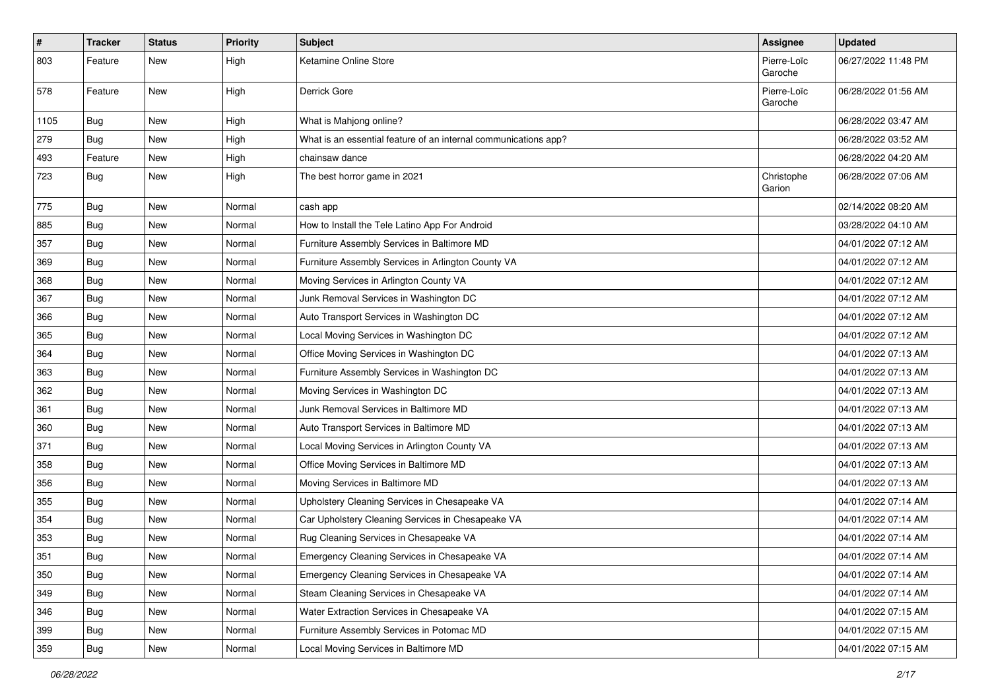| $\vert$ # | <b>Tracker</b> | <b>Status</b> | <b>Priority</b> | Subject                                                         | <b>Assignee</b>        | <b>Updated</b>      |
|-----------|----------------|---------------|-----------------|-----------------------------------------------------------------|------------------------|---------------------|
| 803       | Feature        | New           | High            | Ketamine Online Store                                           | Pierre-Loïc<br>Garoche | 06/27/2022 11:48 PM |
| 578       | Feature        | New           | High            | Derrick Gore                                                    | Pierre-Loïc<br>Garoche | 06/28/2022 01:56 AM |
| 1105      | Bug            | <b>New</b>    | High            | What is Mahjong online?                                         |                        | 06/28/2022 03:47 AM |
| 279       | Bug            | New           | High            | What is an essential feature of an internal communications app? |                        | 06/28/2022 03:52 AM |
| 493       | Feature        | <b>New</b>    | High            | chainsaw dance                                                  |                        | 06/28/2022 04:20 AM |
| 723       | Bug            | <b>New</b>    | High            | The best horror game in 2021                                    | Christophe<br>Garion   | 06/28/2022 07:06 AM |
| 775       | Bug            | <b>New</b>    | Normal          | cash app                                                        |                        | 02/14/2022 08:20 AM |
| 885       | Bug            | New           | Normal          | How to Install the Tele Latino App For Android                  |                        | 03/28/2022 04:10 AM |
| 357       | Bug            | <b>New</b>    | Normal          | Furniture Assembly Services in Baltimore MD                     |                        | 04/01/2022 07:12 AM |
| 369       | Bug            | <b>New</b>    | Normal          | Furniture Assembly Services in Arlington County VA              |                        | 04/01/2022 07:12 AM |
| 368       | Bug            | <b>New</b>    | Normal          | Moving Services in Arlington County VA                          |                        | 04/01/2022 07:12 AM |
| 367       | Bug            | <b>New</b>    | Normal          | Junk Removal Services in Washington DC                          |                        | 04/01/2022 07:12 AM |
| 366       | Bug            | New           | Normal          | Auto Transport Services in Washington DC                        |                        | 04/01/2022 07:12 AM |
| 365       | Bug            | <b>New</b>    | Normal          | Local Moving Services in Washington DC                          |                        | 04/01/2022 07:12 AM |
| 364       | Bug            | <b>New</b>    | Normal          | Office Moving Services in Washington DC                         |                        | 04/01/2022 07:13 AM |
| 363       | Bug            | New           | Normal          | Furniture Assembly Services in Washington DC                    |                        | 04/01/2022 07:13 AM |
| 362       | Bug            | <b>New</b>    | Normal          | Moving Services in Washington DC                                |                        | 04/01/2022 07:13 AM |
| 361       | Bug            | <b>New</b>    | Normal          | Junk Removal Services in Baltimore MD                           |                        | 04/01/2022 07:13 AM |
| 360       | Bug            | <b>New</b>    | Normal          | Auto Transport Services in Baltimore MD                         |                        | 04/01/2022 07:13 AM |
| 371       | <b>Bug</b>     | New           | Normal          | Local Moving Services in Arlington County VA                    |                        | 04/01/2022 07:13 AM |
| 358       | Bug            | New           | Normal          | Office Moving Services in Baltimore MD                          |                        | 04/01/2022 07:13 AM |
| 356       | Bug            | <b>New</b>    | Normal          | Moving Services in Baltimore MD                                 |                        | 04/01/2022 07:13 AM |
| 355       | Bug            | <b>New</b>    | Normal          | Upholstery Cleaning Services in Chesapeake VA                   |                        | 04/01/2022 07:14 AM |
| 354       | Bug            | <b>New</b>    | Normal          | Car Upholstery Cleaning Services in Chesapeake VA               |                        | 04/01/2022 07:14 AM |
| 353       | Bug            | <b>New</b>    | Normal          | Rug Cleaning Services in Chesapeake VA                          |                        | 04/01/2022 07:14 AM |
| 351       | Bug            | New           | Normal          | Emergency Cleaning Services in Chesapeake VA                    |                        | 04/01/2022 07:14 AM |
| 350       | Bug            | New           | Normal          | Emergency Cleaning Services in Chesapeake VA                    |                        | 04/01/2022 07:14 AM |
| 349       | Bug            | New           | Normal          | Steam Cleaning Services in Chesapeake VA                        |                        | 04/01/2022 07:14 AM |
| 346       | Bug            | New           | Normal          | Water Extraction Services in Chesapeake VA                      |                        | 04/01/2022 07:15 AM |
| 399       | Bug            | New           | Normal          | Furniture Assembly Services in Potomac MD                       |                        | 04/01/2022 07:15 AM |
| 359       | <b>Bug</b>     | New           | Normal          | Local Moving Services in Baltimore MD                           |                        | 04/01/2022 07:15 AM |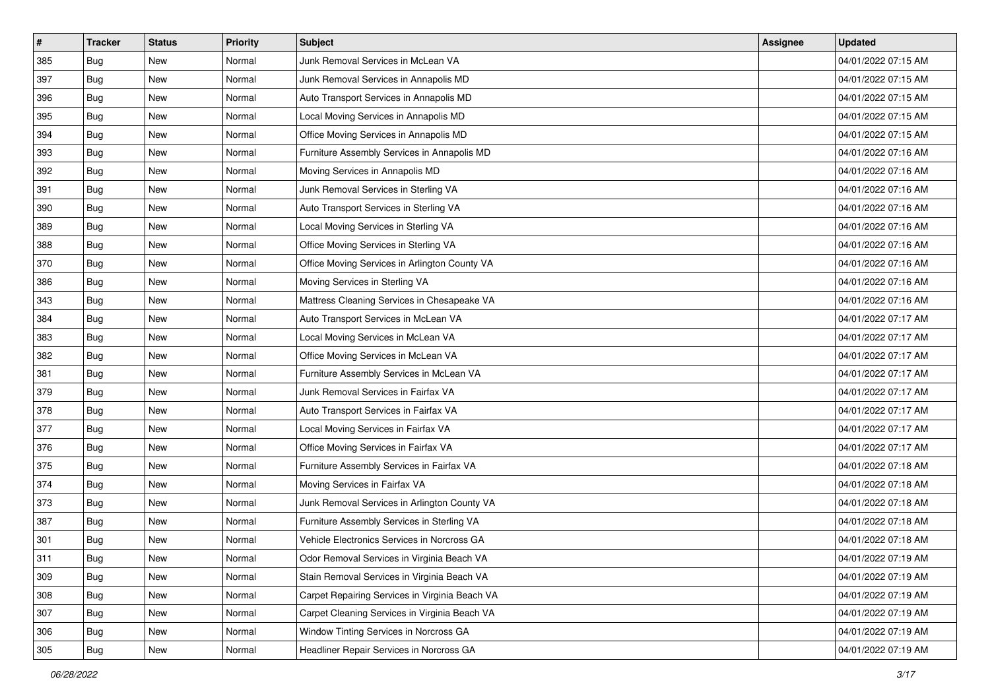| $\sharp$ | <b>Tracker</b> | <b>Status</b> | <b>Priority</b> | <b>Subject</b>                                 | <b>Assignee</b> | <b>Updated</b>      |
|----------|----------------|---------------|-----------------|------------------------------------------------|-----------------|---------------------|
| 385      | Bug            | New           | Normal          | Junk Removal Services in McLean VA             |                 | 04/01/2022 07:15 AM |
| 397      | <b>Bug</b>     | New           | Normal          | Junk Removal Services in Annapolis MD          |                 | 04/01/2022 07:15 AM |
| 396      | <b>Bug</b>     | New           | Normal          | Auto Transport Services in Annapolis MD        |                 | 04/01/2022 07:15 AM |
| 395      | Bug            | <b>New</b>    | Normal          | Local Moving Services in Annapolis MD          |                 | 04/01/2022 07:15 AM |
| 394      | <b>Bug</b>     | <b>New</b>    | Normal          | Office Moving Services in Annapolis MD         |                 | 04/01/2022 07:15 AM |
| 393      | <b>Bug</b>     | <b>New</b>    | Normal          | Furniture Assembly Services in Annapolis MD    |                 | 04/01/2022 07:16 AM |
| 392      | <b>Bug</b>     | New           | Normal          | Moving Services in Annapolis MD                |                 | 04/01/2022 07:16 AM |
| 391      | <b>Bug</b>     | New           | Normal          | Junk Removal Services in Sterling VA           |                 | 04/01/2022 07:16 AM |
| 390      | Bug            | New           | Normal          | Auto Transport Services in Sterling VA         |                 | 04/01/2022 07:16 AM |
| 389      | Bug            | <b>New</b>    | Normal          | Local Moving Services in Sterling VA           |                 | 04/01/2022 07:16 AM |
| 388      | Bug            | New           | Normal          | Office Moving Services in Sterling VA          |                 | 04/01/2022 07:16 AM |
| 370      | Bug            | New           | Normal          | Office Moving Services in Arlington County VA  |                 | 04/01/2022 07:16 AM |
| 386      | <b>Bug</b>     | <b>New</b>    | Normal          | Moving Services in Sterling VA                 |                 | 04/01/2022 07:16 AM |
| 343      | <b>Bug</b>     | New           | Normal          | Mattress Cleaning Services in Chesapeake VA    |                 | 04/01/2022 07:16 AM |
| 384      | <b>Bug</b>     | <b>New</b>    | Normal          | Auto Transport Services in McLean VA           |                 | 04/01/2022 07:17 AM |
| 383      | <b>Bug</b>     | New           | Normal          | Local Moving Services in McLean VA             |                 | 04/01/2022 07:17 AM |
| 382      | Bug            | <b>New</b>    | Normal          | Office Moving Services in McLean VA            |                 | 04/01/2022 07:17 AM |
| 381      | <b>Bug</b>     | <b>New</b>    | Normal          | Furniture Assembly Services in McLean VA       |                 | 04/01/2022 07:17 AM |
| 379      | Bug            | New           | Normal          | Junk Removal Services in Fairfax VA            |                 | 04/01/2022 07:17 AM |
| 378      | <b>Bug</b>     | New           | Normal          | Auto Transport Services in Fairfax VA          |                 | 04/01/2022 07:17 AM |
| 377      | Bug            | New           | Normal          | Local Moving Services in Fairfax VA            |                 | 04/01/2022 07:17 AM |
| 376      | Bug            | New           | Normal          | Office Moving Services in Fairfax VA           |                 | 04/01/2022 07:17 AM |
| 375      | <b>Bug</b>     | <b>New</b>    | Normal          | Furniture Assembly Services in Fairfax VA      |                 | 04/01/2022 07:18 AM |
| 374      | Bug            | New           | Normal          | Moving Services in Fairfax VA                  |                 | 04/01/2022 07:18 AM |
| 373      | Bug            | New           | Normal          | Junk Removal Services in Arlington County VA   |                 | 04/01/2022 07:18 AM |
| 387      | Bug            | New           | Normal          | Furniture Assembly Services in Sterling VA     |                 | 04/01/2022 07:18 AM |
| 301      | Bug            | New           | Normal          | Vehicle Electronics Services in Norcross GA    |                 | 04/01/2022 07:18 AM |
| 311      | Bug            | New           | Normal          | Odor Removal Services in Virginia Beach VA     |                 | 04/01/2022 07:19 AM |
| 309      | Bug            | New           | Normal          | Stain Removal Services in Virginia Beach VA    |                 | 04/01/2022 07:19 AM |
| 308      | Bug            | New           | Normal          | Carpet Repairing Services in Virginia Beach VA |                 | 04/01/2022 07:19 AM |
| 307      | Bug            | New           | Normal          | Carpet Cleaning Services in Virginia Beach VA  |                 | 04/01/2022 07:19 AM |
| 306      | <b>Bug</b>     | New           | Normal          | Window Tinting Services in Norcross GA         |                 | 04/01/2022 07:19 AM |
| 305      | <b>Bug</b>     | New           | Normal          | Headliner Repair Services in Norcross GA       |                 | 04/01/2022 07:19 AM |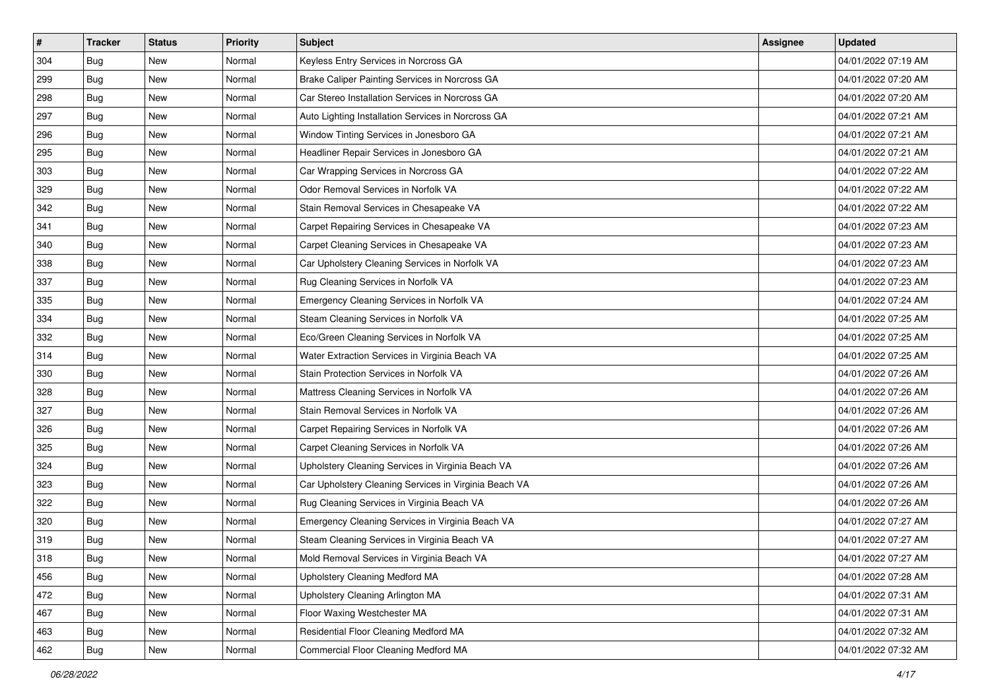| $\sharp$ | <b>Tracker</b> | <b>Status</b> | <b>Priority</b> | <b>Subject</b>                                        | <b>Assignee</b> | <b>Updated</b>      |
|----------|----------------|---------------|-----------------|-------------------------------------------------------|-----------------|---------------------|
| 304      | Bug            | New           | Normal          | Keyless Entry Services in Norcross GA                 |                 | 04/01/2022 07:19 AM |
| 299      | <b>Bug</b>     | <b>New</b>    | Normal          | Brake Caliper Painting Services in Norcross GA        |                 | 04/01/2022 07:20 AM |
| 298      | <b>Bug</b>     | New           | Normal          | Car Stereo Installation Services in Norcross GA       |                 | 04/01/2022 07:20 AM |
| 297      | Bug            | <b>New</b>    | Normal          | Auto Lighting Installation Services in Norcross GA    |                 | 04/01/2022 07:21 AM |
| 296      | <b>Bug</b>     | <b>New</b>    | Normal          | Window Tinting Services in Jonesboro GA               |                 | 04/01/2022 07:21 AM |
| 295      | <b>Bug</b>     | <b>New</b>    | Normal          | Headliner Repair Services in Jonesboro GA             |                 | 04/01/2022 07:21 AM |
| 303      | Bug            | New           | Normal          | Car Wrapping Services in Norcross GA                  |                 | 04/01/2022 07:22 AM |
| 329      | <b>Bug</b>     | New           | Normal          | Odor Removal Services in Norfolk VA                   |                 | 04/01/2022 07:22 AM |
| 342      | Bug            | New           | Normal          | Stain Removal Services in Chesapeake VA               |                 | 04/01/2022 07:22 AM |
| 341      | Bug            | <b>New</b>    | Normal          | Carpet Repairing Services in Chesapeake VA            |                 | 04/01/2022 07:23 AM |
| 340      | Bug            | New           | Normal          | Carpet Cleaning Services in Chesapeake VA             |                 | 04/01/2022 07:23 AM |
| 338      | Bug            | New           | Normal          | Car Upholstery Cleaning Services in Norfolk VA        |                 | 04/01/2022 07:23 AM |
| 337      | <b>Bug</b>     | <b>New</b>    | Normal          | Rug Cleaning Services in Norfolk VA                   |                 | 04/01/2022 07:23 AM |
| 335      | <b>Bug</b>     | New           | Normal          | Emergency Cleaning Services in Norfolk VA             |                 | 04/01/2022 07:24 AM |
| 334      | <b>Bug</b>     | <b>New</b>    | Normal          | Steam Cleaning Services in Norfolk VA                 |                 | 04/01/2022 07:25 AM |
| 332      | <b>Bug</b>     | New           | Normal          | Eco/Green Cleaning Services in Norfolk VA             |                 | 04/01/2022 07:25 AM |
| 314      | Bug            | <b>New</b>    | Normal          | Water Extraction Services in Virginia Beach VA        |                 | 04/01/2022 07:25 AM |
| 330      | <b>Bug</b>     | <b>New</b>    | Normal          | Stain Protection Services in Norfolk VA               |                 | 04/01/2022 07:26 AM |
| 328      | Bug            | New           | Normal          | Mattress Cleaning Services in Norfolk VA              |                 | 04/01/2022 07:26 AM |
| 327      | <b>Bug</b>     | New           | Normal          | Stain Removal Services in Norfolk VA                  |                 | 04/01/2022 07:26 AM |
| 326      | Bug            | New           | Normal          | Carpet Repairing Services in Norfolk VA               |                 | 04/01/2022 07:26 AM |
| 325      | Bug            | New           | Normal          | Carpet Cleaning Services in Norfolk VA                |                 | 04/01/2022 07:26 AM |
| 324      | <b>Bug</b>     | <b>New</b>    | Normal          | Upholstery Cleaning Services in Virginia Beach VA     |                 | 04/01/2022 07:26 AM |
| 323      | Bug            | New           | Normal          | Car Upholstery Cleaning Services in Virginia Beach VA |                 | 04/01/2022 07:26 AM |
| 322      | Bug            | New           | Normal          | Rug Cleaning Services in Virginia Beach VA            |                 | 04/01/2022 07:26 AM |
| 320      | Bug            | <b>New</b>    | Normal          | Emergency Cleaning Services in Virginia Beach VA      |                 | 04/01/2022 07:27 AM |
| 319      | Bug            | New           | Normal          | Steam Cleaning Services in Virginia Beach VA          |                 | 04/01/2022 07:27 AM |
| 318      | i Bug          | New           | Normal          | Mold Removal Services in Virginia Beach VA            |                 | 04/01/2022 07:27 AM |
| 456      | Bug            | New           | Normal          | Upholstery Cleaning Medford MA                        |                 | 04/01/2022 07:28 AM |
| 472      | Bug            | New           | Normal          | Upholstery Cleaning Arlington MA                      |                 | 04/01/2022 07:31 AM |
| 467      | Bug            | New           | Normal          | Floor Waxing Westchester MA                           |                 | 04/01/2022 07:31 AM |
| 463      | Bug            | New           | Normal          | Residential Floor Cleaning Medford MA                 |                 | 04/01/2022 07:32 AM |
| 462      | <b>Bug</b>     | New           | Normal          | Commercial Floor Cleaning Medford MA                  |                 | 04/01/2022 07:32 AM |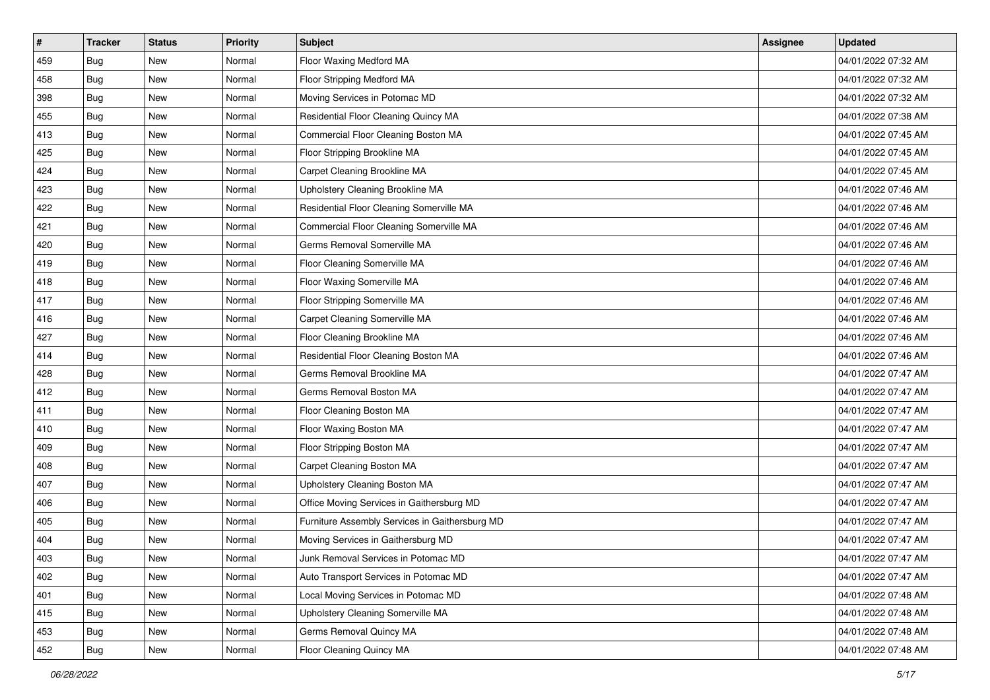| #   | <b>Tracker</b> | <b>Status</b> | <b>Priority</b> | <b>Subject</b>                                 | <b>Assignee</b> | <b>Updated</b>      |
|-----|----------------|---------------|-----------------|------------------------------------------------|-----------------|---------------------|
| 459 | Bug            | New           | Normal          | Floor Waxing Medford MA                        |                 | 04/01/2022 07:32 AM |
| 458 | Bug            | New           | Normal          | Floor Stripping Medford MA                     |                 | 04/01/2022 07:32 AM |
| 398 | <b>Bug</b>     | New           | Normal          | Moving Services in Potomac MD                  |                 | 04/01/2022 07:32 AM |
| 455 | Bug            | <b>New</b>    | Normal          | Residential Floor Cleaning Quincy MA           |                 | 04/01/2022 07:38 AM |
| 413 | <b>Bug</b>     | <b>New</b>    | Normal          | Commercial Floor Cleaning Boston MA            |                 | 04/01/2022 07:45 AM |
| 425 | Bug            | New           | Normal          | Floor Stripping Brookline MA                   |                 | 04/01/2022 07:45 AM |
| 424 | Bug            | <b>New</b>    | Normal          | Carpet Cleaning Brookline MA                   |                 | 04/01/2022 07:45 AM |
| 423 | Bug            | New           | Normal          | Upholstery Cleaning Brookline MA               |                 | 04/01/2022 07:46 AM |
| 422 | Bug            | <b>New</b>    | Normal          | Residential Floor Cleaning Somerville MA       |                 | 04/01/2022 07:46 AM |
| 421 | Bug            | <b>New</b>    | Normal          | Commercial Floor Cleaning Somerville MA        |                 | 04/01/2022 07:46 AM |
| 420 | Bug            | New           | Normal          | Germs Removal Somerville MA                    |                 | 04/01/2022 07:46 AM |
| 419 | Bug            | <b>New</b>    | Normal          | Floor Cleaning Somerville MA                   |                 | 04/01/2022 07:46 AM |
| 418 | <b>Bug</b>     | <b>New</b>    | Normal          | Floor Waxing Somerville MA                     |                 | 04/01/2022 07:46 AM |
| 417 | Bug            | New           | Normal          | Floor Stripping Somerville MA                  |                 | 04/01/2022 07:46 AM |
| 416 | Bug            | <b>New</b>    | Normal          | Carpet Cleaning Somerville MA                  |                 | 04/01/2022 07:46 AM |
| 427 | <b>Bug</b>     | New           | Normal          | Floor Cleaning Brookline MA                    |                 | 04/01/2022 07:46 AM |
| 414 | Bug            | <b>New</b>    | Normal          | Residential Floor Cleaning Boston MA           |                 | 04/01/2022 07:46 AM |
| 428 | <b>Bug</b>     | <b>New</b>    | Normal          | Germs Removal Brookline MA                     |                 | 04/01/2022 07:47 AM |
| 412 | Bug            | New           | Normal          | Germs Removal Boston MA                        |                 | 04/01/2022 07:47 AM |
| 411 | Bug            | <b>New</b>    | Normal          | Floor Cleaning Boston MA                       |                 | 04/01/2022 07:47 AM |
| 410 | Bug            | New           | Normal          | Floor Waxing Boston MA                         |                 | 04/01/2022 07:47 AM |
| 409 | Bug            | <b>New</b>    | Normal          | Floor Stripping Boston MA                      |                 | 04/01/2022 07:47 AM |
| 408 | Bug            | <b>New</b>    | Normal          | Carpet Cleaning Boston MA                      |                 | 04/01/2022 07:47 AM |
| 407 | Bug            | New           | Normal          | Upholstery Cleaning Boston MA                  |                 | 04/01/2022 07:47 AM |
| 406 | Bug            | New           | Normal          | Office Moving Services in Gaithersburg MD      |                 | 04/01/2022 07:47 AM |
| 405 | Bug            | <b>New</b>    | Normal          | Furniture Assembly Services in Gaithersburg MD |                 | 04/01/2022 07:47 AM |
| 404 | Bug            | New           | Normal          | Moving Services in Gaithersburg MD             |                 | 04/01/2022 07:47 AM |
| 403 | <b>Bug</b>     | New           | Normal          | Junk Removal Services in Potomac MD            |                 | 04/01/2022 07:47 AM |
| 402 | Bug            | New           | Normal          | Auto Transport Services in Potomac MD          |                 | 04/01/2022 07:47 AM |
| 401 | Bug            | New           | Normal          | Local Moving Services in Potomac MD            |                 | 04/01/2022 07:48 AM |
| 415 | Bug            | New           | Normal          | Upholstery Cleaning Somerville MA              |                 | 04/01/2022 07:48 AM |
| 453 | <b>Bug</b>     | New           | Normal          | Germs Removal Quincy MA                        |                 | 04/01/2022 07:48 AM |
| 452 | <b>Bug</b>     | New           | Normal          | Floor Cleaning Quincy MA                       |                 | 04/01/2022 07:48 AM |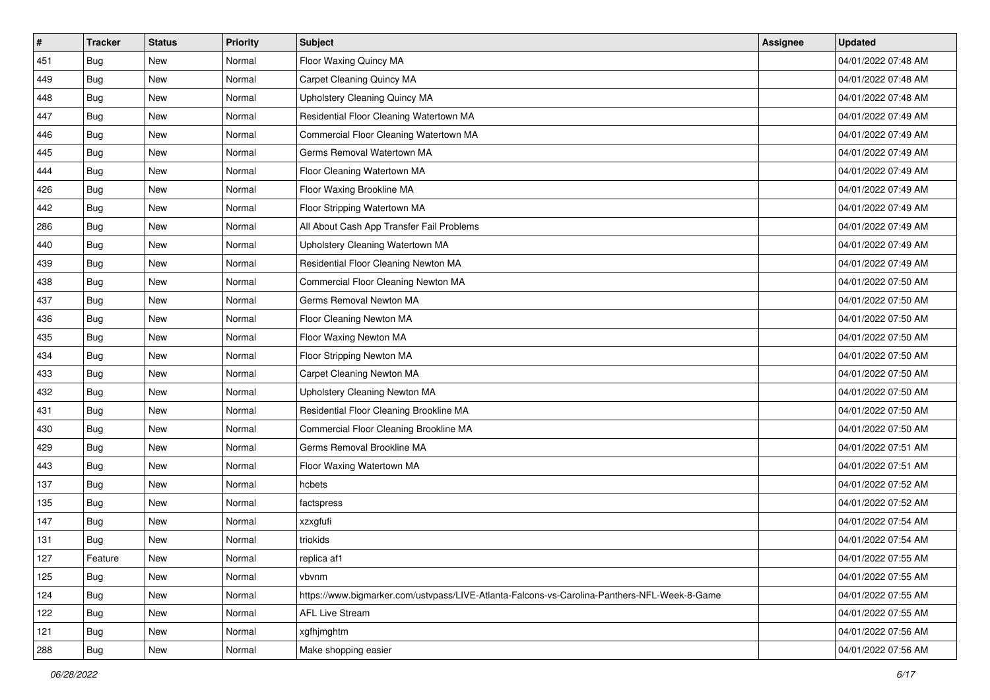| #   | <b>Tracker</b> | <b>Status</b> | <b>Priority</b> | <b>Subject</b>                                                                               | <b>Assignee</b> | <b>Updated</b>      |
|-----|----------------|---------------|-----------------|----------------------------------------------------------------------------------------------|-----------------|---------------------|
| 451 | Bug            | New           | Normal          | Floor Waxing Quincy MA                                                                       |                 | 04/01/2022 07:48 AM |
| 449 | Bug            | <b>New</b>    | Normal          | Carpet Cleaning Quincy MA                                                                    |                 | 04/01/2022 07:48 AM |
| 448 | Bug            | New           | Normal          | Upholstery Cleaning Quincy MA                                                                |                 | 04/01/2022 07:48 AM |
| 447 | Bug            | <b>New</b>    | Normal          | Residential Floor Cleaning Watertown MA                                                      |                 | 04/01/2022 07:49 AM |
| 446 | Bug            | <b>New</b>    | Normal          | Commercial Floor Cleaning Watertown MA                                                       |                 | 04/01/2022 07:49 AM |
| 445 | Bug            | New           | Normal          | Germs Removal Watertown MA                                                                   |                 | 04/01/2022 07:49 AM |
| 444 | Bug            | <b>New</b>    | Normal          | Floor Cleaning Watertown MA                                                                  |                 | 04/01/2022 07:49 AM |
| 426 | Bug            | New           | Normal          | Floor Waxing Brookline MA                                                                    |                 | 04/01/2022 07:49 AM |
| 442 | Bug            | <b>New</b>    | Normal          | Floor Stripping Watertown MA                                                                 |                 | 04/01/2022 07:49 AM |
| 286 | Bug            | New           | Normal          | All About Cash App Transfer Fail Problems                                                    |                 | 04/01/2022 07:49 AM |
| 440 | Bug            | <b>New</b>    | Normal          | Upholstery Cleaning Watertown MA                                                             |                 | 04/01/2022 07:49 AM |
| 439 | Bug            | <b>New</b>    | Normal          | Residential Floor Cleaning Newton MA                                                         |                 | 04/01/2022 07:49 AM |
| 438 | Bug            | New           | Normal          | Commercial Floor Cleaning Newton MA                                                          |                 | 04/01/2022 07:50 AM |
| 437 | Bug            | <b>New</b>    | Normal          | Germs Removal Newton MA                                                                      |                 | 04/01/2022 07:50 AM |
| 436 | <b>Bug</b>     | <b>New</b>    | Normal          | Floor Cleaning Newton MA                                                                     |                 | 04/01/2022 07:50 AM |
| 435 | Bug            | New           | Normal          | Floor Waxing Newton MA                                                                       |                 | 04/01/2022 07:50 AM |
| 434 | Bug            | <b>New</b>    | Normal          | Floor Stripping Newton MA                                                                    |                 | 04/01/2022 07:50 AM |
| 433 | Bug            | <b>New</b>    | Normal          | Carpet Cleaning Newton MA                                                                    |                 | 04/01/2022 07:50 AM |
| 432 | Bug            | <b>New</b>    | Normal          | Upholstery Cleaning Newton MA                                                                |                 | 04/01/2022 07:50 AM |
| 431 | Bug            | <b>New</b>    | Normal          | Residential Floor Cleaning Brookline MA                                                      |                 | 04/01/2022 07:50 AM |
| 430 | Bug            | New           | Normal          | Commercial Floor Cleaning Brookline MA                                                       |                 | 04/01/2022 07:50 AM |
| 429 | Bug            | <b>New</b>    | Normal          | Germs Removal Brookline MA                                                                   |                 | 04/01/2022 07:51 AM |
| 443 | Bug            | <b>New</b>    | Normal          | Floor Waxing Watertown MA                                                                    |                 | 04/01/2022 07:51 AM |
| 137 | Bug            | <b>New</b>    | Normal          | hcbets                                                                                       |                 | 04/01/2022 07:52 AM |
| 135 | Bug            | <b>New</b>    | Normal          | factspress                                                                                   |                 | 04/01/2022 07:52 AM |
| 147 | Bug            | New           | Normal          | xzxgfufi                                                                                     |                 | 04/01/2022 07:54 AM |
| 131 | Bug            | <b>New</b>    | Normal          | triokids                                                                                     |                 | 04/01/2022 07:54 AM |
| 127 | Feature        | New           | Normal          | replica af1                                                                                  |                 | 04/01/2022 07:55 AM |
| 125 | Bug            | New           | Normal          | vbvnm                                                                                        |                 | 04/01/2022 07:55 AM |
| 124 | Bug            | New           | Normal          | https://www.bigmarker.com/ustvpass/LIVE-Atlanta-Falcons-vs-Carolina-Panthers-NFL-Week-8-Game |                 | 04/01/2022 07:55 AM |
| 122 | Bug            | New           | Normal          | <b>AFL Live Stream</b>                                                                       |                 | 04/01/2022 07:55 AM |
| 121 | <b>Bug</b>     | New           | Normal          | xgfhjmghtm                                                                                   |                 | 04/01/2022 07:56 AM |
| 288 | <b>Bug</b>     | New           | Normal          | Make shopping easier                                                                         |                 | 04/01/2022 07:56 AM |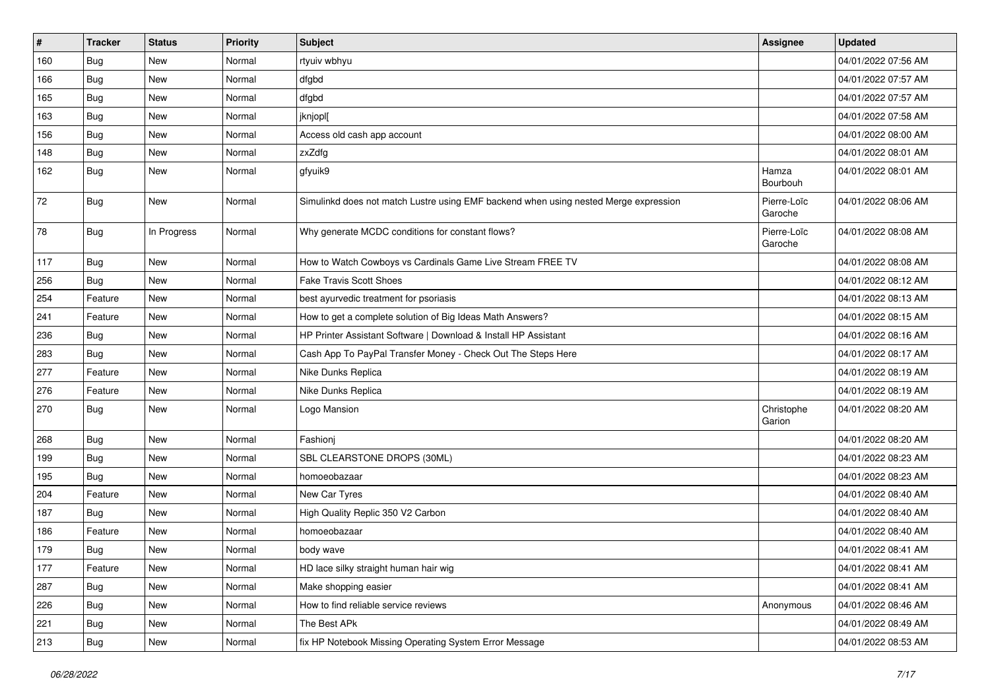| $\vert$ # | <b>Tracker</b> | <b>Status</b> | <b>Priority</b> | <b>Subject</b>                                                                       | <b>Assignee</b>        | <b>Updated</b>      |
|-----------|----------------|---------------|-----------------|--------------------------------------------------------------------------------------|------------------------|---------------------|
| 160       | <b>Bug</b>     | New           | Normal          | rtyuiv wbhyu                                                                         |                        | 04/01/2022 07:56 AM |
| 166       | <b>Bug</b>     | New           | Normal          | dfgbd                                                                                |                        | 04/01/2022 07:57 AM |
| 165       | Bug            | New           | Normal          | dfgbd                                                                                |                        | 04/01/2022 07:57 AM |
| 163       | <b>Bug</b>     | New           | Normal          | jknjopl[                                                                             |                        | 04/01/2022 07:58 AM |
| 156       | Bug            | New           | Normal          | Access old cash app account                                                          |                        | 04/01/2022 08:00 AM |
| 148       | <b>Bug</b>     | New           | Normal          | zxZdfg                                                                               |                        | 04/01/2022 08:01 AM |
| 162       | <b>Bug</b>     | <b>New</b>    | Normal          | gfyuik9                                                                              | Hamza<br>Bourbouh      | 04/01/2022 08:01 AM |
| 72        | Bug            | New           | Normal          | Simulinkd does not match Lustre using EMF backend when using nested Merge expression | Pierre-Loïc<br>Garoche | 04/01/2022 08:06 AM |
| 78        | Bug            | In Progress   | Normal          | Why generate MCDC conditions for constant flows?                                     | Pierre-Loïc<br>Garoche | 04/01/2022 08:08 AM |
| 117       | Bug            | New           | Normal          | How to Watch Cowboys vs Cardinals Game Live Stream FREE TV                           |                        | 04/01/2022 08:08 AM |
| 256       | Bug            | New           | Normal          | <b>Fake Travis Scott Shoes</b>                                                       |                        | 04/01/2022 08:12 AM |
| 254       | Feature        | <b>New</b>    | Normal          | best ayurvedic treatment for psoriasis                                               |                        | 04/01/2022 08:13 AM |
| 241       | Feature        | <b>New</b>    | Normal          | How to get a complete solution of Big Ideas Math Answers?                            |                        | 04/01/2022 08:15 AM |
| 236       | Bug            | New           | Normal          | HP Printer Assistant Software   Download & Install HP Assistant                      |                        | 04/01/2022 08:16 AM |
| 283       | Bug            | New           | Normal          | Cash App To PayPal Transfer Money - Check Out The Steps Here                         |                        | 04/01/2022 08:17 AM |
| 277       | Feature        | <b>New</b>    | Normal          | Nike Dunks Replica                                                                   |                        | 04/01/2022 08:19 AM |
| 276       | Feature        | New           | Normal          | Nike Dunks Replica                                                                   |                        | 04/01/2022 08:19 AM |
| 270       | Bug            | New           | Normal          | Logo Mansion                                                                         | Christophe<br>Garion   | 04/01/2022 08:20 AM |
| 268       | Bug            | <b>New</b>    | Normal          | Fashionj                                                                             |                        | 04/01/2022 08:20 AM |
| 199       | <b>Bug</b>     | New           | Normal          | SBL CLEARSTONE DROPS (30ML)                                                          |                        | 04/01/2022 08:23 AM |
| 195       | Bug            | New           | Normal          | homoeobazaar                                                                         |                        | 04/01/2022 08:23 AM |
| 204       | Feature        | <b>New</b>    | Normal          | New Car Tyres                                                                        |                        | 04/01/2022 08:40 AM |
| 187       | Bug            | New           | Normal          | High Quality Replic 350 V2 Carbon                                                    |                        | 04/01/2022 08:40 AM |
| 186       | Feature        | New           | Normal          | homoeobazaar                                                                         |                        | 04/01/2022 08:40 AM |
| 179       | <b>Bug</b>     | New           | Normal          | body wave                                                                            |                        | 04/01/2022 08:41 AM |
| 177       | Feature        | New           | Normal          | HD lace silky straight human hair wig                                                |                        | 04/01/2022 08:41 AM |
| 287       | Bug            | New           | Normal          | Make shopping easier                                                                 |                        | 04/01/2022 08:41 AM |
| 226       | Bug            | New           | Normal          | How to find reliable service reviews                                                 | Anonymous              | 04/01/2022 08:46 AM |
| 221       | Bug            | New           | Normal          | The Best APk                                                                         |                        | 04/01/2022 08:49 AM |
| 213       | <b>Bug</b>     | New           | Normal          | fix HP Notebook Missing Operating System Error Message                               |                        | 04/01/2022 08:53 AM |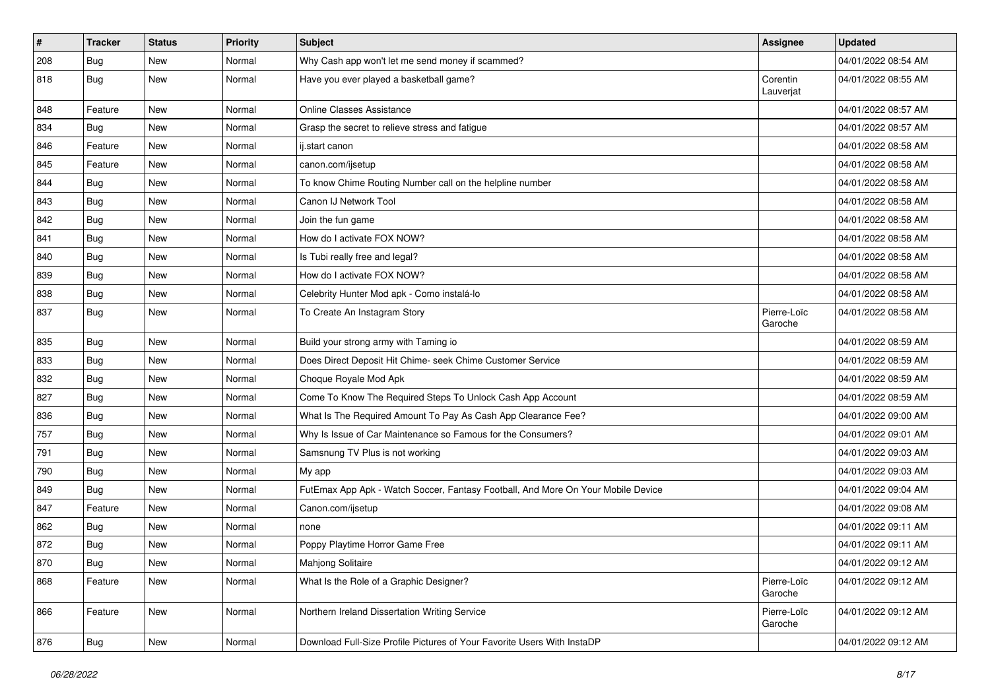| $\vert$ # | <b>Tracker</b> | <b>Status</b> | <b>Priority</b> | <b>Subject</b>                                                                   | <b>Assignee</b>        | <b>Updated</b>      |
|-----------|----------------|---------------|-----------------|----------------------------------------------------------------------------------|------------------------|---------------------|
| 208       | Bug            | <b>New</b>    | Normal          | Why Cash app won't let me send money if scammed?                                 |                        | 04/01/2022 08:54 AM |
| 818       | Bug            | <b>New</b>    | Normal          | Have you ever played a basketball game?                                          | Corentin<br>Lauverjat  | 04/01/2022 08:55 AM |
| 848       | Feature        | <b>New</b>    | Normal          | <b>Online Classes Assistance</b>                                                 |                        | 04/01/2022 08:57 AM |
| 834       | Bug            | <b>New</b>    | Normal          | Grasp the secret to relieve stress and fatigue                                   |                        | 04/01/2022 08:57 AM |
| 846       | Feature        | New           | Normal          | ij.start canon                                                                   |                        | 04/01/2022 08:58 AM |
| 845       | Feature        | <b>New</b>    | Normal          | canon.com/ijsetup                                                                |                        | 04/01/2022 08:58 AM |
| 844       | Bug            | New           | Normal          | To know Chime Routing Number call on the helpline number                         |                        | 04/01/2022 08:58 AM |
| 843       | Bug            | <b>New</b>    | Normal          | Canon IJ Network Tool                                                            |                        | 04/01/2022 08:58 AM |
| 842       | Bug            | New           | Normal          | Join the fun game                                                                |                        | 04/01/2022 08:58 AM |
| 841       | Bug            | <b>New</b>    | Normal          | How do I activate FOX NOW?                                                       |                        | 04/01/2022 08:58 AM |
| 840       | Bug            | <b>New</b>    | Normal          | Is Tubi really free and legal?                                                   |                        | 04/01/2022 08:58 AM |
| 839       | Bug            | <b>New</b>    | Normal          | How do I activate FOX NOW?                                                       |                        | 04/01/2022 08:58 AM |
| 838       | Bug            | <b>New</b>    | Normal          | Celebrity Hunter Mod apk - Como instalá-lo                                       |                        | 04/01/2022 08:58 AM |
| 837       | Bug            | <b>New</b>    | Normal          | To Create An Instagram Story                                                     | Pierre-Loïc<br>Garoche | 04/01/2022 08:58 AM |
| 835       | Bug            | <b>New</b>    | Normal          | Build your strong army with Taming io                                            |                        | 04/01/2022 08:59 AM |
| 833       | Bug            | <b>New</b>    | Normal          | Does Direct Deposit Hit Chime- seek Chime Customer Service                       |                        | 04/01/2022 08:59 AM |
| 832       | Bug            | <b>New</b>    | Normal          | Choque Royale Mod Apk                                                            |                        | 04/01/2022 08:59 AM |
| 827       | Bug            | <b>New</b>    | Normal          | Come To Know The Required Steps To Unlock Cash App Account                       |                        | 04/01/2022 08:59 AM |
| 836       | Bug            | New           | Normal          | What Is The Required Amount To Pay As Cash App Clearance Fee?                    |                        | 04/01/2022 09:00 AM |
| 757       | Bug            | <b>New</b>    | Normal          | Why Is Issue of Car Maintenance so Famous for the Consumers?                     |                        | 04/01/2022 09:01 AM |
| 791       | Bug            | <b>New</b>    | Normal          | Samsnung TV Plus is not working                                                  |                        | 04/01/2022 09:03 AM |
| 790       | Bug            | <b>New</b>    | Normal          | My app                                                                           |                        | 04/01/2022 09:03 AM |
| 849       | <b>Bug</b>     | <b>New</b>    | Normal          | FutEmax App Apk - Watch Soccer, Fantasy Football, And More On Your Mobile Device |                        | 04/01/2022 09:04 AM |
| 847       | Feature        | <b>New</b>    | Normal          | Canon.com/ijsetup                                                                |                        | 04/01/2022 09:08 AM |
| 862       | Bug            | <b>New</b>    | Normal          | none                                                                             |                        | 04/01/2022 09:11 AM |
| 872       | <b>Bug</b>     | <b>New</b>    | Normal          | Poppy Playtime Horror Game Free                                                  |                        | 04/01/2022 09:11 AM |
| 870       | <b>Bug</b>     | New           | Normal          | Mahjong Solitaire                                                                |                        | 04/01/2022 09:12 AM |
| 868       | Feature        | New           | Normal          | What Is the Role of a Graphic Designer?                                          | Pierre-Loïc<br>Garoche | 04/01/2022 09:12 AM |
| 866       | Feature        | New           | Normal          | Northern Ireland Dissertation Writing Service                                    | Pierre-Loïc<br>Garoche | 04/01/2022 09:12 AM |
| 876       | <b>Bug</b>     | New           | Normal          | Download Full-Size Profile Pictures of Your Favorite Users With InstaDP          |                        | 04/01/2022 09:12 AM |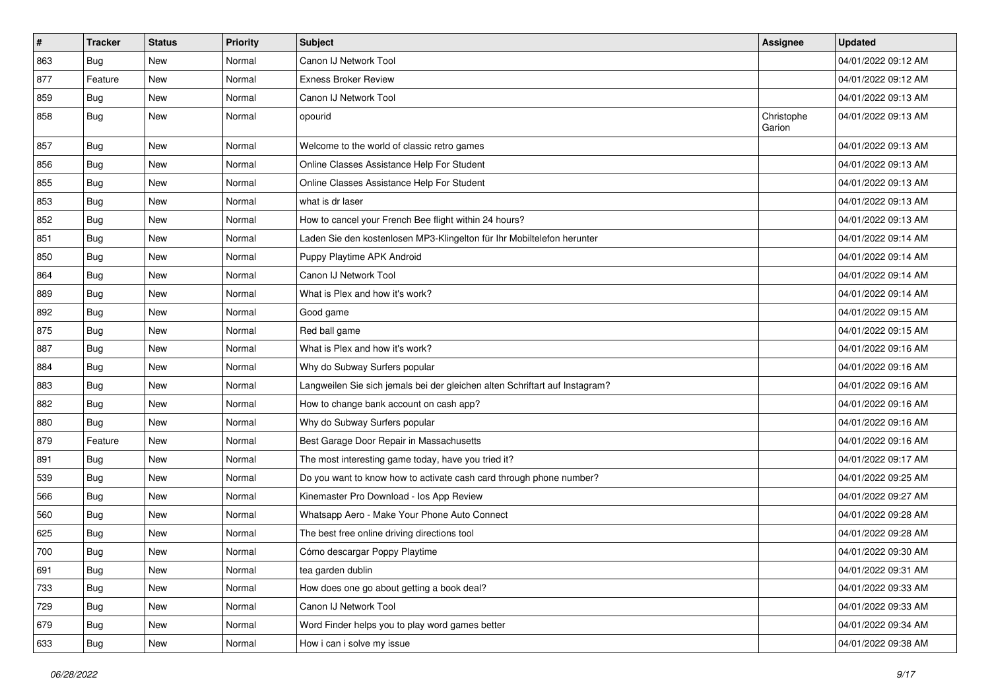| #   | <b>Tracker</b> | <b>Status</b> | <b>Priority</b> | Subject                                                                     | <b>Assignee</b>      | <b>Updated</b>      |
|-----|----------------|---------------|-----------------|-----------------------------------------------------------------------------|----------------------|---------------------|
| 863 | Bug            | <b>New</b>    | Normal          | Canon IJ Network Tool                                                       |                      | 04/01/2022 09:12 AM |
| 877 | Feature        | <b>New</b>    | Normal          | <b>Exness Broker Review</b>                                                 |                      | 04/01/2022 09:12 AM |
| 859 | <b>Bug</b>     | <b>New</b>    | Normal          | Canon IJ Network Tool                                                       |                      | 04/01/2022 09:13 AM |
| 858 | Bug            | <b>New</b>    | Normal          | opourid                                                                     | Christophe<br>Garion | 04/01/2022 09:13 AM |
| 857 | <b>Bug</b>     | <b>New</b>    | Normal          | Welcome to the world of classic retro games                                 |                      | 04/01/2022 09:13 AM |
| 856 | Bug            | <b>New</b>    | Normal          | Online Classes Assistance Help For Student                                  |                      | 04/01/2022 09:13 AM |
| 855 | <b>Bug</b>     | New           | Normal          | Online Classes Assistance Help For Student                                  |                      | 04/01/2022 09:13 AM |
| 853 | Bug            | <b>New</b>    | Normal          | what is dr laser                                                            |                      | 04/01/2022 09:13 AM |
| 852 | Bug            | New           | Normal          | How to cancel your French Bee flight within 24 hours?                       |                      | 04/01/2022 09:13 AM |
| 851 | Bug            | <b>New</b>    | Normal          | Laden Sie den kostenlosen MP3-Klingelton für Ihr Mobiltelefon herunter      |                      | 04/01/2022 09:14 AM |
| 850 | Bug            | <b>New</b>    | Normal          | Puppy Playtime APK Android                                                  |                      | 04/01/2022 09:14 AM |
| 864 | Bug            | New           | Normal          | Canon IJ Network Tool                                                       |                      | 04/01/2022 09:14 AM |
| 889 | <b>Bug</b>     | <b>New</b>    | Normal          | What is Plex and how it's work?                                             |                      | 04/01/2022 09:14 AM |
| 892 | Bug            | <b>New</b>    | Normal          | Good game                                                                   |                      | 04/01/2022 09:15 AM |
| 875 | Bug            | New           | Normal          | Red ball game                                                               |                      | 04/01/2022 09:15 AM |
| 887 | Bug            | <b>New</b>    | Normal          | What is Plex and how it's work?                                             |                      | 04/01/2022 09:16 AM |
| 884 | Bug            | <b>New</b>    | Normal          | Why do Subway Surfers popular                                               |                      | 04/01/2022 09:16 AM |
| 883 | Bug            | <b>New</b>    | Normal          | Langweilen Sie sich jemals bei der gleichen alten Schriftart auf Instagram? |                      | 04/01/2022 09:16 AM |
| 882 | Bug            | <b>New</b>    | Normal          | How to change bank account on cash app?                                     |                      | 04/01/2022 09:16 AM |
| 880 | <b>Bug</b>     | New           | Normal          | Why do Subway Surfers popular                                               |                      | 04/01/2022 09:16 AM |
| 879 | Feature        | <b>New</b>    | Normal          | Best Garage Door Repair in Massachusetts                                    |                      | 04/01/2022 09:16 AM |
| 891 | Bug            | <b>New</b>    | Normal          | The most interesting game today, have you tried it?                         |                      | 04/01/2022 09:17 AM |
| 539 | Bug            | <b>New</b>    | Normal          | Do you want to know how to activate cash card through phone number?         |                      | 04/01/2022 09:25 AM |
| 566 | Bug            | <b>New</b>    | Normal          | Kinemaster Pro Download - los App Review                                    |                      | 04/01/2022 09:27 AM |
| 560 | Bug            | New           | Normal          | Whatsapp Aero - Make Your Phone Auto Connect                                |                      | 04/01/2022 09:28 AM |
| 625 | Bug            | <b>New</b>    | Normal          | The best free online driving directions tool                                |                      | 04/01/2022 09:28 AM |
| 700 | <b>Bug</b>     | <b>New</b>    | Normal          | Cómo descargar Poppy Playtime                                               |                      | 04/01/2022 09:30 AM |
| 691 | <b>Bug</b>     | New           | Normal          | tea garden dublin                                                           |                      | 04/01/2022 09:31 AM |
| 733 | Bug            | New           | Normal          | How does one go about getting a book deal?                                  |                      | 04/01/2022 09:33 AM |
| 729 | Bug            | New           | Normal          | Canon IJ Network Tool                                                       |                      | 04/01/2022 09:33 AM |
| 679 | <b>Bug</b>     | New           | Normal          | Word Finder helps you to play word games better                             |                      | 04/01/2022 09:34 AM |
| 633 | <b>Bug</b>     | New           | Normal          | How i can i solve my issue                                                  |                      | 04/01/2022 09:38 AM |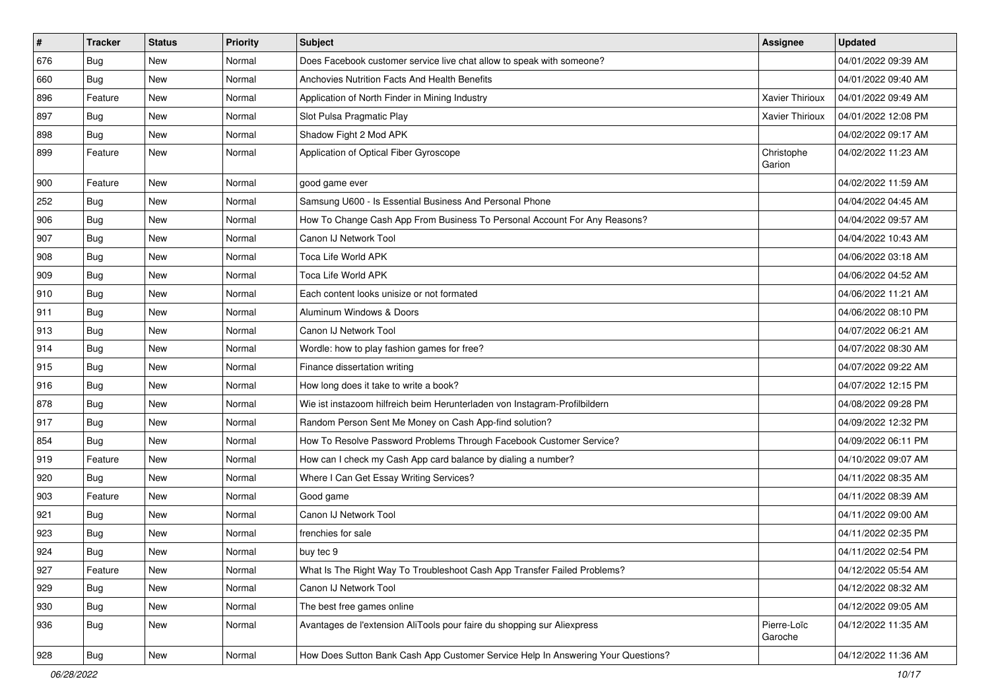| $\vert$ # | <b>Tracker</b> | <b>Status</b> | <b>Priority</b> | <b>Subject</b>                                                                   | <b>Assignee</b>        | <b>Updated</b>      |
|-----------|----------------|---------------|-----------------|----------------------------------------------------------------------------------|------------------------|---------------------|
| 676       | <b>Bug</b>     | <b>New</b>    | Normal          | Does Facebook customer service live chat allow to speak with someone?            |                        | 04/01/2022 09:39 AM |
| 660       | Bug            | <b>New</b>    | Normal          | <b>Anchovies Nutrition Facts And Health Benefits</b>                             |                        | 04/01/2022 09:40 AM |
| 896       | Feature        | <b>New</b>    | Normal          | Application of North Finder in Mining Industry                                   | Xavier Thirioux        | 04/01/2022 09:49 AM |
| 897       | Bug            | <b>New</b>    | Normal          | Slot Pulsa Pragmatic Play                                                        | <b>Xavier Thirioux</b> | 04/01/2022 12:08 PM |
| 898       | Bug            | <b>New</b>    | Normal          | Shadow Fight 2 Mod APK                                                           |                        | 04/02/2022 09:17 AM |
| 899       | Feature        | <b>New</b>    | Normal          | Application of Optical Fiber Gyroscope                                           | Christophe<br>Garion   | 04/02/2022 11:23 AM |
| 900       | Feature        | <b>New</b>    | Normal          | good game ever                                                                   |                        | 04/02/2022 11:59 AM |
| 252       | Bug            | <b>New</b>    | Normal          | Samsung U600 - Is Essential Business And Personal Phone                          |                        | 04/04/2022 04:45 AM |
| 906       | Bug            | <b>New</b>    | Normal          | How To Change Cash App From Business To Personal Account For Any Reasons?        |                        | 04/04/2022 09:57 AM |
| 907       | Bug            | <b>New</b>    | Normal          | Canon IJ Network Tool                                                            |                        | 04/04/2022 10:43 AM |
| 908       | <b>Bug</b>     | <b>New</b>    | Normal          | Toca Life World APK                                                              |                        | 04/06/2022 03:18 AM |
| 909       | Bug            | <b>New</b>    | Normal          | Toca Life World APK                                                              |                        | 04/06/2022 04:52 AM |
| 910       | Bug            | <b>New</b>    | Normal          | Each content looks unisize or not formated                                       |                        | 04/06/2022 11:21 AM |
| 911       | Bug            | <b>New</b>    | Normal          | Aluminum Windows & Doors                                                         |                        | 04/06/2022 08:10 PM |
| 913       | Bug            | <b>New</b>    | Normal          | Canon IJ Network Tool                                                            |                        | 04/07/2022 06:21 AM |
| 914       | Bug            | <b>New</b>    | Normal          | Wordle: how to play fashion games for free?                                      |                        | 04/07/2022 08:30 AM |
| 915       | Bug            | <b>New</b>    | Normal          | Finance dissertation writing                                                     |                        | 04/07/2022 09:22 AM |
| 916       | Bug            | <b>New</b>    | Normal          | How long does it take to write a book?                                           |                        | 04/07/2022 12:15 PM |
| 878       | Bug            | <b>New</b>    | Normal          | Wie ist instazoom hilfreich beim Herunterladen von Instagram-Profilbildern       |                        | 04/08/2022 09:28 PM |
| 917       | Bug            | <b>New</b>    | Normal          | Random Person Sent Me Money on Cash App-find solution?                           |                        | 04/09/2022 12:32 PM |
| 854       | Bug            | <b>New</b>    | Normal          | How To Resolve Password Problems Through Facebook Customer Service?              |                        | 04/09/2022 06:11 PM |
| 919       | Feature        | <b>New</b>    | Normal          | How can I check my Cash App card balance by dialing a number?                    |                        | 04/10/2022 09:07 AM |
| 920       | Bug            | New           | Normal          | Where I Can Get Essay Writing Services?                                          |                        | 04/11/2022 08:35 AM |
| 903       | Feature        | <b>New</b>    | Normal          | Good game                                                                        |                        | 04/11/2022 08:39 AM |
| 921       | Bug            | <b>New</b>    | Normal          | Canon IJ Network Tool                                                            |                        | 04/11/2022 09:00 AM |
| 923       | <b>Bug</b>     | <b>New</b>    | Normal          | frenchies for sale                                                               |                        | 04/11/2022 02:35 PM |
| 924       | <b>Bug</b>     | <b>New</b>    | Normal          | buy tec 9                                                                        |                        | 04/11/2022 02:54 PM |
| 927       | Feature        | New           | Normal          | What Is The Right Way To Troubleshoot Cash App Transfer Failed Problems?         |                        | 04/12/2022 05:54 AM |
| 929       | <b>Bug</b>     | New           | Normal          | Canon IJ Network Tool                                                            |                        | 04/12/2022 08:32 AM |
| 930       | Bug            | New           | Normal          | The best free games online                                                       |                        | 04/12/2022 09:05 AM |
| 936       | Bug            | New           | Normal          | Avantages de l'extension AliTools pour faire du shopping sur Aliexpress          | Pierre-Loïc<br>Garoche | 04/12/2022 11:35 AM |
| 928       | Bug            | New           | Normal          | How Does Sutton Bank Cash App Customer Service Help In Answering Your Questions? |                        | 04/12/2022 11:36 AM |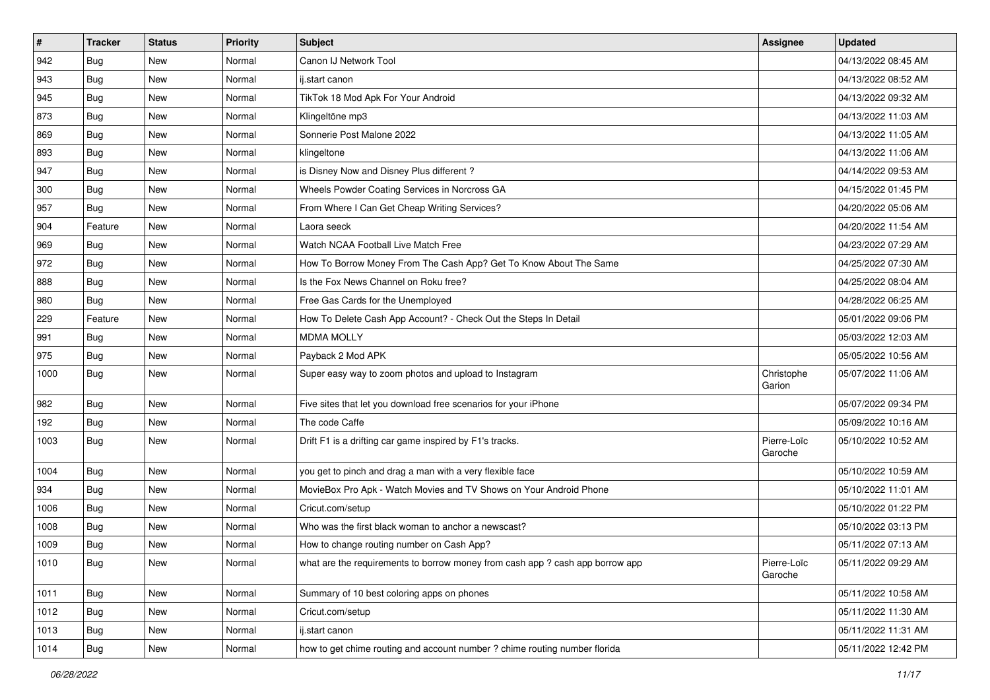| $\vert$ # | <b>Tracker</b> | <b>Status</b> | <b>Priority</b> | <b>Subject</b>                                                                | <b>Assignee</b>        | <b>Updated</b>      |
|-----------|----------------|---------------|-----------------|-------------------------------------------------------------------------------|------------------------|---------------------|
| 942       | <b>Bug</b>     | <b>New</b>    | Normal          | Canon IJ Network Tool                                                         |                        | 04/13/2022 08:45 AM |
| 943       | Bug            | <b>New</b>    | Normal          | ij.start canon                                                                |                        | 04/13/2022 08:52 AM |
| 945       | Bug            | <b>New</b>    | Normal          | TikTok 18 Mod Apk For Your Android                                            |                        | 04/13/2022 09:32 AM |
| 873       | <b>Bug</b>     | <b>New</b>    | Normal          | Klingeltöne mp3                                                               |                        | 04/13/2022 11:03 AM |
| 869       | Bug            | <b>New</b>    | Normal          | Sonnerie Post Malone 2022                                                     |                        | 04/13/2022 11:05 AM |
| 893       | Bug            | <b>New</b>    | Normal          | klingeltone                                                                   |                        | 04/13/2022 11:06 AM |
| 947       | Bug            | <b>New</b>    | Normal          | is Disney Now and Disney Plus different?                                      |                        | 04/14/2022 09:53 AM |
| 300       | Bug            | <b>New</b>    | Normal          | Wheels Powder Coating Services in Norcross GA                                 |                        | 04/15/2022 01:45 PM |
| 957       | <b>Bug</b>     | <b>New</b>    | Normal          | From Where I Can Get Cheap Writing Services?                                  |                        | 04/20/2022 05:06 AM |
| 904       | Feature        | New           | Normal          | Laora seeck                                                                   |                        | 04/20/2022 11:54 AM |
| 969       | <b>Bug</b>     | <b>New</b>    | Normal          | Watch NCAA Football Live Match Free                                           |                        | 04/23/2022 07:29 AM |
| 972       | Bug            | <b>New</b>    | Normal          | How To Borrow Money From The Cash App? Get To Know About The Same             |                        | 04/25/2022 07:30 AM |
| 888       | Bug            | <b>New</b>    | Normal          | Is the Fox News Channel on Roku free?                                         |                        | 04/25/2022 08:04 AM |
| 980       | <b>Bug</b>     | <b>New</b>    | Normal          | Free Gas Cards for the Unemployed                                             |                        | 04/28/2022 06:25 AM |
| 229       | Feature        | <b>New</b>    | Normal          | How To Delete Cash App Account? - Check Out the Steps In Detail               |                        | 05/01/2022 09:06 PM |
| 991       | Bug            | New           | Normal          | <b>MDMA MOLLY</b>                                                             |                        | 05/03/2022 12:03 AM |
| 975       | <b>Bug</b>     | <b>New</b>    | Normal          | Payback 2 Mod APK                                                             |                        | 05/05/2022 10:56 AM |
| 1000      | <b>Bug</b>     | <b>New</b>    | Normal          | Super easy way to zoom photos and upload to Instagram                         | Christophe<br>Garion   | 05/07/2022 11:06 AM |
| 982       | Bug            | <b>New</b>    | Normal          | Five sites that let you download free scenarios for your iPhone               |                        | 05/07/2022 09:34 PM |
| 192       | Bug            | <b>New</b>    | Normal          | The code Caffe                                                                |                        | 05/09/2022 10:16 AM |
| 1003      | <b>Bug</b>     | <b>New</b>    | Normal          | Drift F1 is a drifting car game inspired by F1's tracks.                      | Pierre-Loïc<br>Garoche | 05/10/2022 10:52 AM |
| 1004      | Bug            | <b>New</b>    | Normal          | you get to pinch and drag a man with a very flexible face                     |                        | 05/10/2022 10:59 AM |
| 934       | <b>Bug</b>     | <b>New</b>    | Normal          | MovieBox Pro Apk - Watch Movies and TV Shows on Your Android Phone            |                        | 05/10/2022 11:01 AM |
| 1006      | Bug            | <b>New</b>    | Normal          | Cricut.com/setup                                                              |                        | 05/10/2022 01:22 PM |
| 1008      | Bug            | <b>New</b>    | Normal          | Who was the first black woman to anchor a newscast?                           |                        | 05/10/2022 03:13 PM |
| 1009      | <b>Bug</b>     | <b>New</b>    | Normal          | How to change routing number on Cash App?                                     |                        | 05/11/2022 07:13 AM |
| 1010      | Bug            | New           | Normal          | what are the requirements to borrow money from cash app ? cash app borrow app | Pierre-Loïc<br>Garoche | 05/11/2022 09:29 AM |
| 1011      | <b>Bug</b>     | New           | Normal          | Summary of 10 best coloring apps on phones                                    |                        | 05/11/2022 10:58 AM |
| 1012      | Bug            | New           | Normal          | Cricut.com/setup                                                              |                        | 05/11/2022 11:30 AM |
| 1013      | Bug            | New           | Normal          | ij.start canon                                                                |                        | 05/11/2022 11:31 AM |
| 1014      | <b>Bug</b>     | New           | Normal          | how to get chime routing and account number? chime routing number florida     |                        | 05/11/2022 12:42 PM |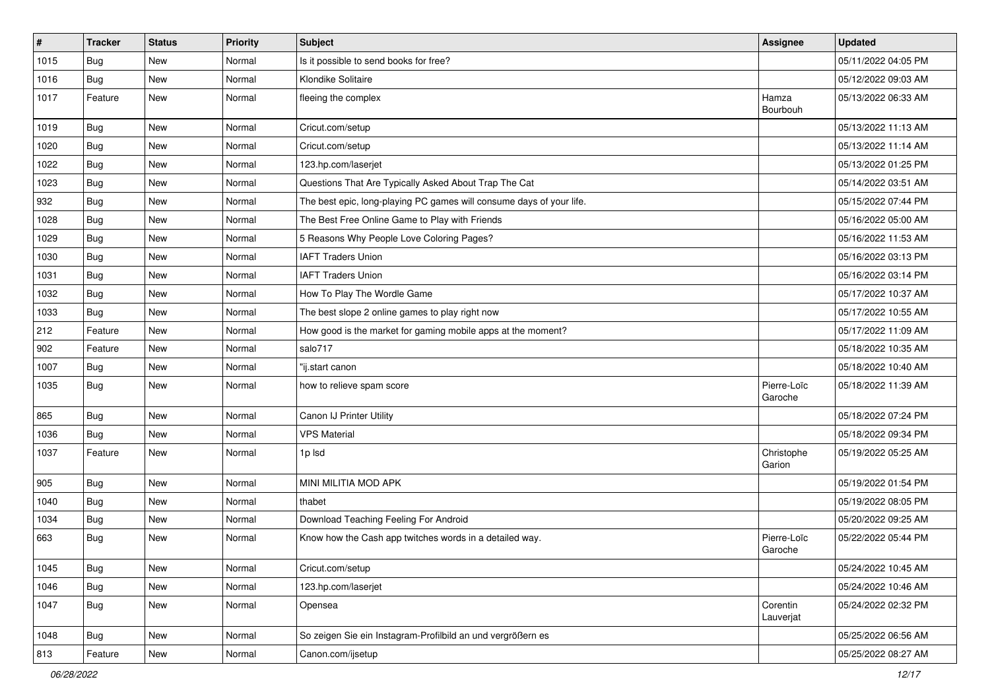| $\sharp$ | <b>Tracker</b> | <b>Status</b> | <b>Priority</b> | Subject                                                              | Assignee               | <b>Updated</b>      |
|----------|----------------|---------------|-----------------|----------------------------------------------------------------------|------------------------|---------------------|
| 1015     | Bug            | New           | Normal          | Is it possible to send books for free?                               |                        | 05/11/2022 04:05 PM |
| 1016     | <b>Bug</b>     | <b>New</b>    | Normal          | Klondike Solitaire                                                   |                        | 05/12/2022 09:03 AM |
| 1017     | Feature        | New           | Normal          | fleeing the complex                                                  | Hamza<br>Bourbouh      | 05/13/2022 06:33 AM |
| 1019     | Bug            | New           | Normal          | Cricut.com/setup                                                     |                        | 05/13/2022 11:13 AM |
| 1020     | <b>Bug</b>     | New           | Normal          | Cricut.com/setup                                                     |                        | 05/13/2022 11:14 AM |
| 1022     | <b>Bug</b>     | New           | Normal          | 123.hp.com/laserjet                                                  |                        | 05/13/2022 01:25 PM |
| 1023     | Bug            | New           | Normal          | Questions That Are Typically Asked About Trap The Cat                |                        | 05/14/2022 03:51 AM |
| 932      | Bug            | New           | Normal          | The best epic, long-playing PC games will consume days of your life. |                        | 05/15/2022 07:44 PM |
| 1028     | Bug            | New           | Normal          | The Best Free Online Game to Play with Friends                       |                        | 05/16/2022 05:00 AM |
| 1029     | <b>Bug</b>     | New           | Normal          | 5 Reasons Why People Love Coloring Pages?                            |                        | 05/16/2022 11:53 AM |
| 1030     | Bug            | New           | Normal          | <b>IAFT Traders Union</b>                                            |                        | 05/16/2022 03:13 PM |
| 1031     | Bug            | New           | Normal          | <b>IAFT Traders Union</b>                                            |                        | 05/16/2022 03:14 PM |
| 1032     | Bug            | New           | Normal          | How To Play The Wordle Game                                          |                        | 05/17/2022 10:37 AM |
| 1033     | Bug            | <b>New</b>    | Normal          | The best slope 2 online games to play right now                      |                        | 05/17/2022 10:55 AM |
| 212      | Feature        | New           | Normal          | How good is the market for gaming mobile apps at the moment?         |                        | 05/17/2022 11:09 AM |
| 902      | Feature        | New           | Normal          | salo717                                                              |                        | 05/18/2022 10:35 AM |
| 1007     | Bug            | New           | Normal          | "ij.start canon                                                      |                        | 05/18/2022 10:40 AM |
| 1035     | <b>Bug</b>     | New           | Normal          | how to relieve spam score                                            | Pierre-Loïc<br>Garoche | 05/18/2022 11:39 AM |
| 865      | Bug            | New           | Normal          | Canon IJ Printer Utility                                             |                        | 05/18/2022 07:24 PM |
| 1036     | Bug            | New           | Normal          | <b>VPS Material</b>                                                  |                        | 05/18/2022 09:34 PM |
| 1037     | Feature        | New           | Normal          | 1p Isd                                                               | Christophe<br>Garion   | 05/19/2022 05:25 AM |
| 905      | <b>Bug</b>     | New           | Normal          | MINI MILITIA MOD APK                                                 |                        | 05/19/2022 01:54 PM |
| 1040     | Bug            | New           | Normal          | thabet                                                               |                        | 05/19/2022 08:05 PM |
| 1034     | <b>Bug</b>     | New           | Normal          | Download Teaching Feeling For Android                                |                        | 05/20/2022 09:25 AM |
| 663      | <b>Bug</b>     | New           | Normal          | Know how the Cash app twitches words in a detailed way.              | Pierre-Loïc<br>Garoche | 05/22/2022 05:44 PM |
| 1045     | <b>Bug</b>     | New           | Normal          | Cricut.com/setup                                                     |                        | 05/24/2022 10:45 AM |
| 1046     | Bug            | New           | Normal          | 123.hp.com/laserjet                                                  |                        | 05/24/2022 10:46 AM |
| 1047     | <b>Bug</b>     | New           | Normal          | Opensea                                                              | Corentin<br>Lauverjat  | 05/24/2022 02:32 PM |
| 1048     | Bug            | New           | Normal          | So zeigen Sie ein Instagram-Profilbild an und vergrößern es          |                        | 05/25/2022 06:56 AM |
| 813      | Feature        | New           | Normal          | Canon.com/ijsetup                                                    |                        | 05/25/2022 08:27 AM |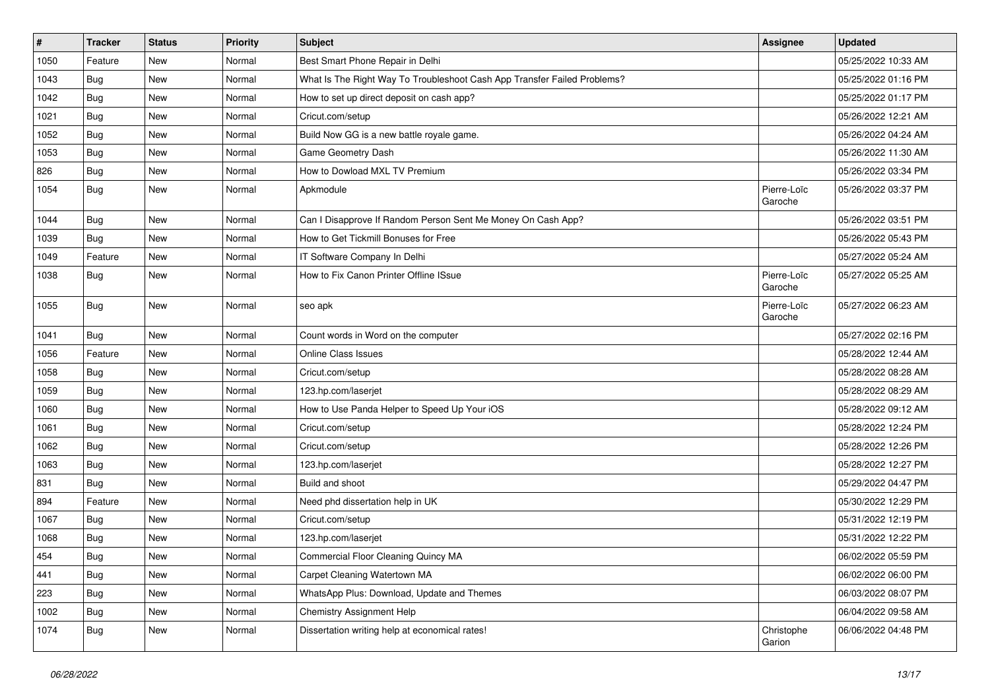| $\pmb{\#}$ | <b>Tracker</b> | <b>Status</b> | <b>Priority</b> | <b>Subject</b>                                                           | Assignee               | <b>Updated</b>      |
|------------|----------------|---------------|-----------------|--------------------------------------------------------------------------|------------------------|---------------------|
| 1050       | Feature        | New           | Normal          | Best Smart Phone Repair in Delhi                                         |                        | 05/25/2022 10:33 AM |
| 1043       | Bug            | <b>New</b>    | Normal          | What Is The Right Way To Troubleshoot Cash App Transfer Failed Problems? |                        | 05/25/2022 01:16 PM |
| 1042       | Bug            | New           | Normal          | How to set up direct deposit on cash app?                                |                        | 05/25/2022 01:17 PM |
| 1021       | Bug            | New           | Normal          | Cricut.com/setup                                                         |                        | 05/26/2022 12:21 AM |
| 1052       | Bug            | <b>New</b>    | Normal          | Build Now GG is a new battle royale game.                                |                        | 05/26/2022 04:24 AM |
| 1053       | Bug            | New           | Normal          | Game Geometry Dash                                                       |                        | 05/26/2022 11:30 AM |
| 826        | Bug            | <b>New</b>    | Normal          | How to Dowload MXL TV Premium                                            |                        | 05/26/2022 03:34 PM |
| 1054       | Bug            | New           | Normal          | Apkmodule                                                                | Pierre-Loïc<br>Garoche | 05/26/2022 03:37 PM |
| 1044       | Bug            | <b>New</b>    | Normal          | Can I Disapprove If Random Person Sent Me Money On Cash App?             |                        | 05/26/2022 03:51 PM |
| 1039       | Bug            | New           | Normal          | How to Get Tickmill Bonuses for Free                                     |                        | 05/26/2022 05:43 PM |
| 1049       | Feature        | New           | Normal          | IT Software Company In Delhi                                             |                        | 05/27/2022 05:24 AM |
| 1038       | Bug            | <b>New</b>    | Normal          | How to Fix Canon Printer Offline ISsue                                   | Pierre-Loïc<br>Garoche | 05/27/2022 05:25 AM |
| 1055       | Bug            | <b>New</b>    | Normal          | seo apk                                                                  | Pierre-Loïc<br>Garoche | 05/27/2022 06:23 AM |
| 1041       | Bug            | <b>New</b>    | Normal          | Count words in Word on the computer                                      |                        | 05/27/2022 02:16 PM |
| 1056       | Feature        | New           | Normal          | <b>Online Class Issues</b>                                               |                        | 05/28/2022 12:44 AM |
| 1058       | Bug            | New           | Normal          | Cricut.com/setup                                                         |                        | 05/28/2022 08:28 AM |
| 1059       | Bug            | New           | Normal          | 123.hp.com/laserjet                                                      |                        | 05/28/2022 08:29 AM |
| 1060       | Bug            | <b>New</b>    | Normal          | How to Use Panda Helper to Speed Up Your iOS                             |                        | 05/28/2022 09:12 AM |
| 1061       | Bug            | New           | Normal          | Cricut.com/setup                                                         |                        | 05/28/2022 12:24 PM |
| 1062       | Bug            | <b>New</b>    | Normal          | Cricut.com/setup                                                         |                        | 05/28/2022 12:26 PM |
| 1063       | Bug            | New           | Normal          | 123.hp.com/laserjet                                                      |                        | 05/28/2022 12:27 PM |
| 831        | Bug            | <b>New</b>    | Normal          | Build and shoot                                                          |                        | 05/29/2022 04:47 PM |
| 894        | Feature        | <b>New</b>    | Normal          | Need phd dissertation help in UK                                         |                        | 05/30/2022 12:29 PM |
| 1067       | Bug            | New           | Normal          | Cricut.com/setup                                                         |                        | 05/31/2022 12:19 PM |
| 1068       | Bug            | <b>New</b>    | Normal          | 123.hp.com/laserjet                                                      |                        | 05/31/2022 12:22 PM |
| 454        | Bug            | New           | Normal          | Commercial Floor Cleaning Quincy MA                                      |                        | 06/02/2022 05:59 PM |
| 441        | Bug            | New           | Normal          | Carpet Cleaning Watertown MA                                             |                        | 06/02/2022 06:00 PM |
| 223        | Bug            | New           | Normal          | WhatsApp Plus: Download, Update and Themes                               |                        | 06/03/2022 08:07 PM |
| 1002       | Bug            | New           | Normal          | <b>Chemistry Assignment Help</b>                                         |                        | 06/04/2022 09:58 AM |
| 1074       | Bug            | New           | Normal          | Dissertation writing help at economical rates!                           | Christophe<br>Garion   | 06/06/2022 04:48 PM |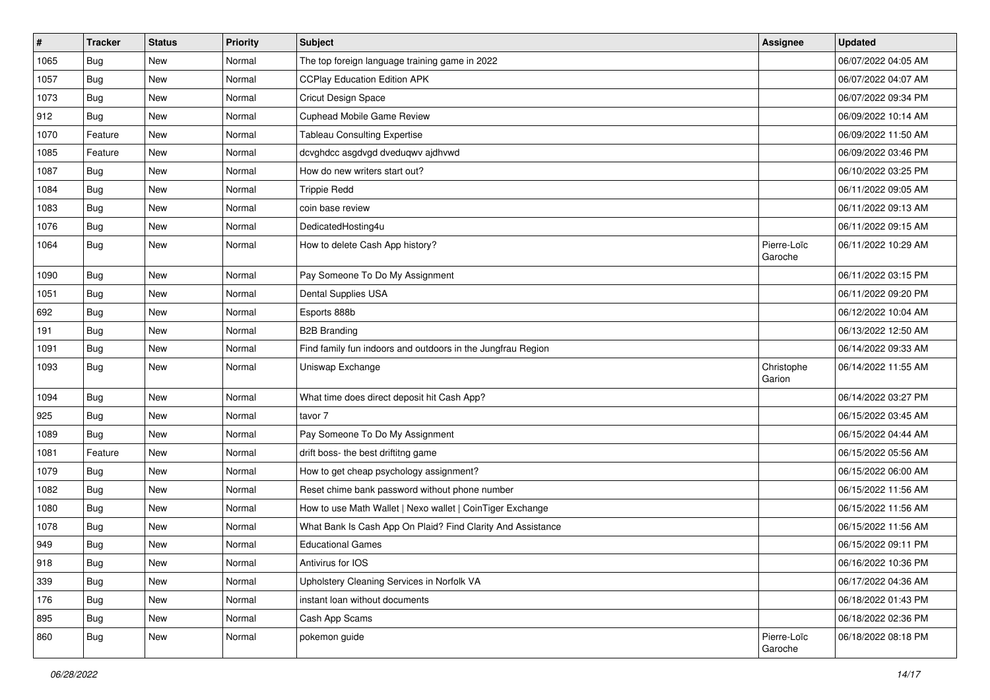| $\#$ | <b>Tracker</b> | <b>Status</b> | <b>Priority</b> | Subject                                                     | <b>Assignee</b>        | <b>Updated</b>      |
|------|----------------|---------------|-----------------|-------------------------------------------------------------|------------------------|---------------------|
| 1065 | Bug            | New           | Normal          | The top foreign language training game in 2022              |                        | 06/07/2022 04:05 AM |
| 1057 | Bug            | <b>New</b>    | Normal          | <b>CCPlay Education Edition APK</b>                         |                        | 06/07/2022 04:07 AM |
| 1073 | Bug            | New           | Normal          | Cricut Design Space                                         |                        | 06/07/2022 09:34 PM |
| 912  | Bug            | <b>New</b>    | Normal          | Cuphead Mobile Game Review                                  |                        | 06/09/2022 10:14 AM |
| 1070 | Feature        | <b>New</b>    | Normal          | <b>Tableau Consulting Expertise</b>                         |                        | 06/09/2022 11:50 AM |
| 1085 | Feature        | New           | Normal          | dcvghdcc asgdvgd dveduqwv ajdhvwd                           |                        | 06/09/2022 03:46 PM |
| 1087 | Bug            | <b>New</b>    | Normal          | How do new writers start out?                               |                        | 06/10/2022 03:25 PM |
| 1084 | Bug            | New           | Normal          | <b>Trippie Redd</b>                                         |                        | 06/11/2022 09:05 AM |
| 1083 | Bug            | New           | Normal          | coin base review                                            |                        | 06/11/2022 09:13 AM |
| 1076 | Bug            | <b>New</b>    | Normal          | DedicatedHosting4u                                          |                        | 06/11/2022 09:15 AM |
| 1064 | Bug            | New           | Normal          | How to delete Cash App history?                             | Pierre-Loïc<br>Garoche | 06/11/2022 10:29 AM |
| 1090 | Bug            | <b>New</b>    | Normal          | Pay Someone To Do My Assignment                             |                        | 06/11/2022 03:15 PM |
| 1051 | Bug            | New           | Normal          | Dental Supplies USA                                         |                        | 06/11/2022 09:20 PM |
| 692  | Bug            | <b>New</b>    | Normal          | Esports 888b                                                |                        | 06/12/2022 10:04 AM |
| 191  | Bug            | New           | Normal          | <b>B2B Branding</b>                                         |                        | 06/13/2022 12:50 AM |
| 1091 | Bug            | New           | Normal          | Find family fun indoors and outdoors in the Jungfrau Region |                        | 06/14/2022 09:33 AM |
| 1093 | Bug            | <b>New</b>    | Normal          | Uniswap Exchange                                            | Christophe<br>Garion   | 06/14/2022 11:55 AM |
| 1094 | Bug            | <b>New</b>    | Normal          | What time does direct deposit hit Cash App?                 |                        | 06/14/2022 03:27 PM |
| 925  | Bug            | New           | Normal          | tavor 7                                                     |                        | 06/15/2022 03:45 AM |
| 1089 | Bug            | <b>New</b>    | Normal          | Pay Someone To Do My Assignment                             |                        | 06/15/2022 04:44 AM |
| 1081 | Feature        | <b>New</b>    | Normal          | drift boss- the best driftitng game                         |                        | 06/15/2022 05:56 AM |
| 1079 | Bug            | New           | Normal          | How to get cheap psychology assignment?                     |                        | 06/15/2022 06:00 AM |
| 1082 | Bug            | New           | Normal          | Reset chime bank password without phone number              |                        | 06/15/2022 11:56 AM |
| 1080 | Bug            | <b>New</b>    | Normal          | How to use Math Wallet   Nexo wallet   CoinTiger Exchange   |                        | 06/15/2022 11:56 AM |
| 1078 | Bug            | New           | Normal          | What Bank Is Cash App On Plaid? Find Clarity And Assistance |                        | 06/15/2022 11:56 AM |
| 949  | Bug            | New           | Normal          | <b>Educational Games</b>                                    |                        | 06/15/2022 09:11 PM |
| 918  | Bug            | New           | Normal          | Antivirus for IOS                                           |                        | 06/16/2022 10:36 PM |
| 339  | <b>Bug</b>     | New           | Normal          | Upholstery Cleaning Services in Norfolk VA                  |                        | 06/17/2022 04:36 AM |
| 176  | <b>Bug</b>     | New           | Normal          | instant loan without documents                              |                        | 06/18/2022 01:43 PM |
| 895  | Bug            | New           | Normal          | Cash App Scams                                              |                        | 06/18/2022 02:36 PM |
| 860  | <b>Bug</b>     | New           | Normal          | pokemon guide                                               | Pierre-Loïc<br>Garoche | 06/18/2022 08:18 PM |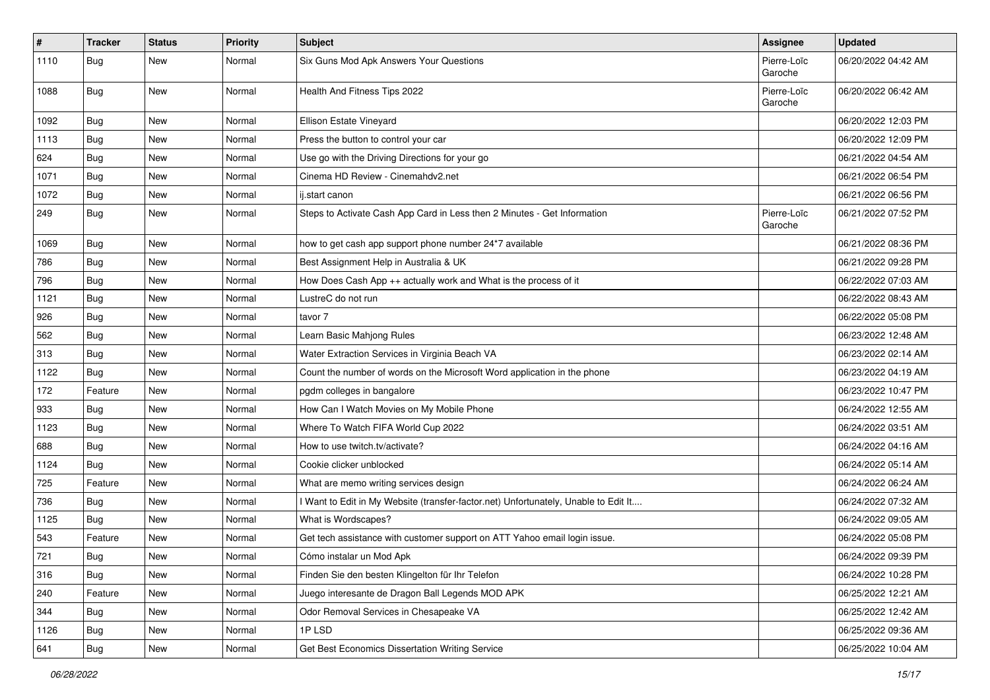| $\sharp$ | <b>Tracker</b> | <b>Status</b> | <b>Priority</b> | <b>Subject</b>                                                                      | Assignee               | <b>Updated</b>      |
|----------|----------------|---------------|-----------------|-------------------------------------------------------------------------------------|------------------------|---------------------|
| 1110     | <b>Bug</b>     | New           | Normal          | Six Guns Mod Apk Answers Your Questions                                             | Pierre-Loïc<br>Garoche | 06/20/2022 04:42 AM |
| 1088     | <b>Bug</b>     | New           | Normal          | Health And Fitness Tips 2022                                                        | Pierre-Loïc<br>Garoche | 06/20/2022 06:42 AM |
| 1092     | <b>Bug</b>     | <b>New</b>    | Normal          | Ellison Estate Vineyard                                                             |                        | 06/20/2022 12:03 PM |
| 1113     | Bug            | New           | Normal          | Press the button to control your car                                                |                        | 06/20/2022 12:09 PM |
| 624      | Bug            | New           | Normal          | Use go with the Driving Directions for your go                                      |                        | 06/21/2022 04:54 AM |
| 1071     | <b>Bug</b>     | New           | Normal          | Cinema HD Review - Cinemahdy2.net                                                   |                        | 06/21/2022 06:54 PM |
| 1072     | Bug            | New           | Normal          | ij.start canon                                                                      |                        | 06/21/2022 06:56 PM |
| 249      | Bug            | <b>New</b>    | Normal          | Steps to Activate Cash App Card in Less then 2 Minutes - Get Information            | Pierre-Loïc<br>Garoche | 06/21/2022 07:52 PM |
| 1069     | <b>Bug</b>     | New           | Normal          | how to get cash app support phone number 24*7 available                             |                        | 06/21/2022 08:36 PM |
| 786      | <b>Bug</b>     | New           | Normal          | Best Assignment Help in Australia & UK                                              |                        | 06/21/2022 09:28 PM |
| 796      | <b>Bug</b>     | New           | Normal          | How Does Cash App ++ actually work and What is the process of it                    |                        | 06/22/2022 07:03 AM |
| 1121     | Bug            | New           | Normal          | LustreC do not run                                                                  |                        | 06/22/2022 08:43 AM |
| 926      | <b>Bug</b>     | New           | Normal          | tavor 7                                                                             |                        | 06/22/2022 05:08 PM |
| 562      | Bug            | New           | Normal          | Learn Basic Mahjong Rules                                                           |                        | 06/23/2022 12:48 AM |
| 313      | <b>Bug</b>     | <b>New</b>    | Normal          | Water Extraction Services in Virginia Beach VA                                      |                        | 06/23/2022 02:14 AM |
| 1122     | Bug            | New           | Normal          | Count the number of words on the Microsoft Word application in the phone            |                        | 06/23/2022 04:19 AM |
| 172      | Feature        | New           | Normal          | pgdm colleges in bangalore                                                          |                        | 06/23/2022 10:47 PM |
| 933      | <b>Bug</b>     | New           | Normal          | How Can I Watch Movies on My Mobile Phone                                           |                        | 06/24/2022 12:55 AM |
| 1123     | Bug            | New           | Normal          | Where To Watch FIFA World Cup 2022                                                  |                        | 06/24/2022 03:51 AM |
| 688      | <b>Bug</b>     | New           | Normal          | How to use twitch.tv/activate?                                                      |                        | 06/24/2022 04:16 AM |
| 1124     | <b>Bug</b>     | New           | Normal          | Cookie clicker unblocked                                                            |                        | 06/24/2022 05:14 AM |
| 725      | Feature        | New           | Normal          | What are memo writing services design                                               |                        | 06/24/2022 06:24 AM |
| 736      | <b>Bug</b>     | New           | Normal          | I Want to Edit in My Website (transfer-factor.net) Unfortunately, Unable to Edit It |                        | 06/24/2022 07:32 AM |
| 1125     | Bug            | New           | Normal          | What is Wordscapes?                                                                 |                        | 06/24/2022 09:05 AM |
| 543      | Feature        | <b>New</b>    | Normal          | Get tech assistance with customer support on ATT Yahoo email login issue.           |                        | 06/24/2022 05:08 PM |
| 721      | i Bug          | New           | Normal          | Cómo instalar un Mod Apk                                                            |                        | 06/24/2022 09:39 PM |
| 316      | Bug            | <b>New</b>    | Normal          | Finden Sie den besten Klingelton für Ihr Telefon                                    |                        | 06/24/2022 10:28 PM |
| 240      | Feature        | <b>New</b>    | Normal          | Juego interesante de Dragon Ball Legends MOD APK                                    |                        | 06/25/2022 12:21 AM |
| 344      | <b>Bug</b>     | New           | Normal          | Odor Removal Services in Chesapeake VA                                              |                        | 06/25/2022 12:42 AM |
| 1126     | <b>Bug</b>     | <b>New</b>    | Normal          | 1PLSD                                                                               |                        | 06/25/2022 09:36 AM |
| 641      | Bug            | New           | Normal          | Get Best Economics Dissertation Writing Service                                     |                        | 06/25/2022 10:04 AM |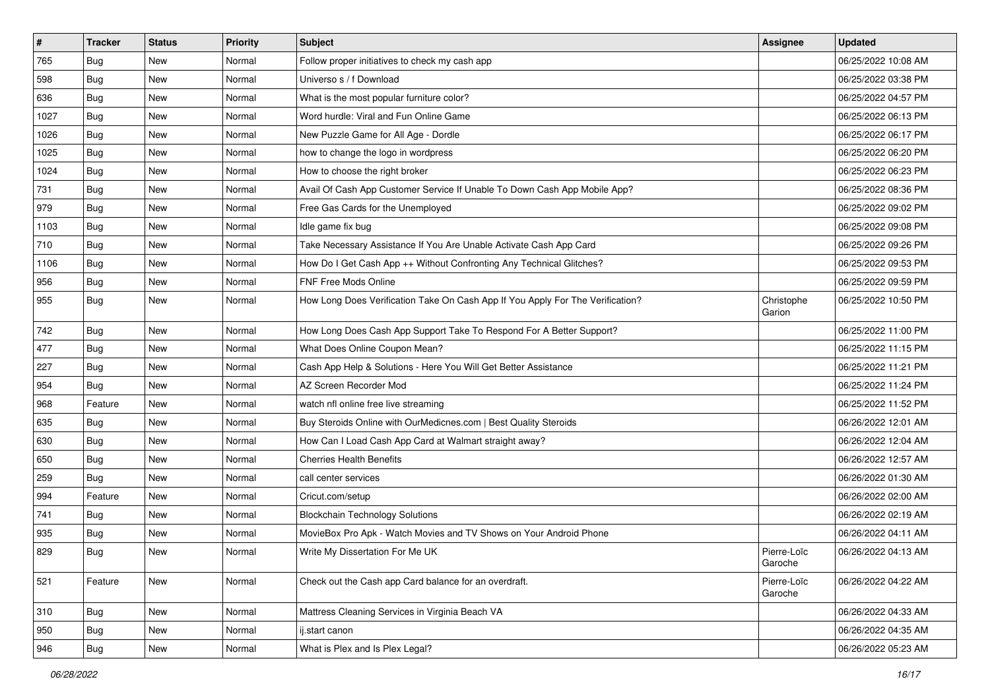| $\vert$ # | <b>Tracker</b> | <b>Status</b> | <b>Priority</b> | <b>Subject</b>                                                                 | Assignee               | <b>Updated</b>      |
|-----------|----------------|---------------|-----------------|--------------------------------------------------------------------------------|------------------------|---------------------|
| 765       | Bug            | <b>New</b>    | Normal          | Follow proper initiatives to check my cash app                                 |                        | 06/25/2022 10:08 AM |
| 598       | Bug            | <b>New</b>    | Normal          | Universo s / f Download                                                        |                        | 06/25/2022 03:38 PM |
| 636       | Bug            | <b>New</b>    | Normal          | What is the most popular furniture color?                                      |                        | 06/25/2022 04:57 PM |
| 1027      | Bug            | <b>New</b>    | Normal          | Word hurdle: Viral and Fun Online Game                                         |                        | 06/25/2022 06:13 PM |
| 1026      | Bug            | <b>New</b>    | Normal          | New Puzzle Game for All Age - Dordle                                           |                        | 06/25/2022 06:17 PM |
| 1025      | Bug            | <b>New</b>    | Normal          | how to change the logo in wordpress                                            |                        | 06/25/2022 06:20 PM |
| 1024      | Bug            | <b>New</b>    | Normal          | How to choose the right broker                                                 |                        | 06/25/2022 06:23 PM |
| 731       | Bug            | <b>New</b>    | Normal          | Avail Of Cash App Customer Service If Unable To Down Cash App Mobile App?      |                        | 06/25/2022 08:36 PM |
| 979       | Bug            | <b>New</b>    | Normal          | Free Gas Cards for the Unemployed                                              |                        | 06/25/2022 09:02 PM |
| 1103      | Bug            | <b>New</b>    | Normal          | Idle game fix bug                                                              |                        | 06/25/2022 09:08 PM |
| 710       | <b>Bug</b>     | <b>New</b>    | Normal          | Take Necessary Assistance If You Are Unable Activate Cash App Card             |                        | 06/25/2022 09:26 PM |
| 1106      | Bug            | <b>New</b>    | Normal          | How Do I Get Cash App ++ Without Confronting Any Technical Glitches?           |                        | 06/25/2022 09:53 PM |
| 956       | Bug            | <b>New</b>    | Normal          | FNF Free Mods Online                                                           |                        | 06/25/2022 09:59 PM |
| 955       | Bug            | <b>New</b>    | Normal          | How Long Does Verification Take On Cash App If You Apply For The Verification? | Christophe<br>Garion   | 06/25/2022 10:50 PM |
| 742       | Bug            | <b>New</b>    | Normal          | How Long Does Cash App Support Take To Respond For A Better Support?           |                        | 06/25/2022 11:00 PM |
| 477       | <b>Bug</b>     | <b>New</b>    | Normal          | What Does Online Coupon Mean?                                                  |                        | 06/25/2022 11:15 PM |
| 227       | Bug            | <b>New</b>    | Normal          | Cash App Help & Solutions - Here You Will Get Better Assistance                |                        | 06/25/2022 11:21 PM |
| 954       | Bug            | <b>New</b>    | Normal          | AZ Screen Recorder Mod                                                         |                        | 06/25/2022 11:24 PM |
| 968       | Feature        | <b>New</b>    | Normal          | watch nfl online free live streaming                                           |                        | 06/25/2022 11:52 PM |
| 635       | Bug            | New           | Normal          | Buy Steroids Online with OurMedicnes.com   Best Quality Steroids               |                        | 06/26/2022 12:01 AM |
| 630       | <b>Bug</b>     | <b>New</b>    | Normal          | How Can I Load Cash App Card at Walmart straight away?                         |                        | 06/26/2022 12:04 AM |
| 650       | Bug            | <b>New</b>    | Normal          | <b>Cherries Health Benefits</b>                                                |                        | 06/26/2022 12:57 AM |
| 259       | Bug            | <b>New</b>    | Normal          | call center services                                                           |                        | 06/26/2022 01:30 AM |
| 994       | Feature        | <b>New</b>    | Normal          | Cricut.com/setup                                                               |                        | 06/26/2022 02:00 AM |
| 741       | Bug            | <b>New</b>    | Normal          | <b>Blockchain Technology Solutions</b>                                         |                        | 06/26/2022 02:19 AM |
| 935       | <b>Bug</b>     | <b>New</b>    | Normal          | MovieBox Pro Apk - Watch Movies and TV Shows on Your Android Phone             |                        | 06/26/2022 04:11 AM |
| 829       | <b>Bug</b>     | <b>New</b>    | Normal          | Write My Dissertation For Me UK                                                | Pierre-Loïc<br>Garoche | 06/26/2022 04:13 AM |
| 521       | Feature        | New           | Normal          | Check out the Cash app Card balance for an overdraft.                          | Pierre-Loïc<br>Garoche | 06/26/2022 04:22 AM |
| 310       | Bug            | New           | Normal          | Mattress Cleaning Services in Virginia Beach VA                                |                        | 06/26/2022 04:33 AM |
| 950       | Bug            | <b>New</b>    | Normal          | ij.start canon                                                                 |                        | 06/26/2022 04:35 AM |
| 946       | <b>Bug</b>     | New           | Normal          | What is Plex and Is Plex Legal?                                                |                        | 06/26/2022 05:23 AM |